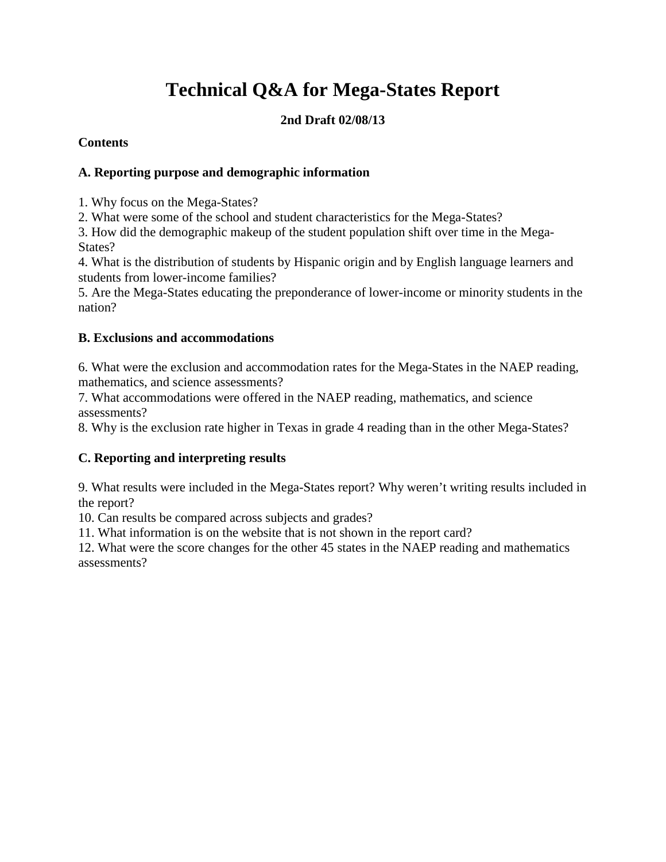# **Technical Q&A for Mega-States Report**

## **2nd Draft 02/08/13**

### **Contents**

## **[A. Reporting purpose and demographic information](#page-1-0)**

[1. Why focus on the Mega-States?](#page-1-0)

[2. What were some of the school and student characteristics](#page-1-0) for the Mega-States?

[3. How did the demographic makeup of the student population shift over time in the Mega-](#page-2-0)States?

[4. What is the distribution of students by Hispanic origin and by English language learners and](#page-2-0) students from lower-income families?

[5. Are the Mega-States educating the preponderance of lower-income or minority students in the](#page-7-0)  nation?

## **[B. Exclusions and accommodations](#page-9-0)**

[6. What were the exclusion and accommodation rates for the Mega-States in the NAEP reading,](#page-9-0) mathematics, and science assessments?

[7. What accommodations were offered in the NAEP reading, mathematics, and science](#page-10-0)  assessments?

[8. Why is the exclusion rate higher in Texas in grade 4 reading than in the other Mega-States?](#page-10-0)

## **[C. Reporting and interpreting results](#page-11-0)**

[9. What results were included in the Mega-States report? Why weren't writing results included in](#page-11-0) the report?

[10. Can results be compared across subjects and grades?](#page-12-0) 

[11. What information is on the website that is not shown in the report card?](#page-12-0)

[12. What were the score changes for the other 45 states in the NAEP reading and mathematics](#page-13-0) assessments?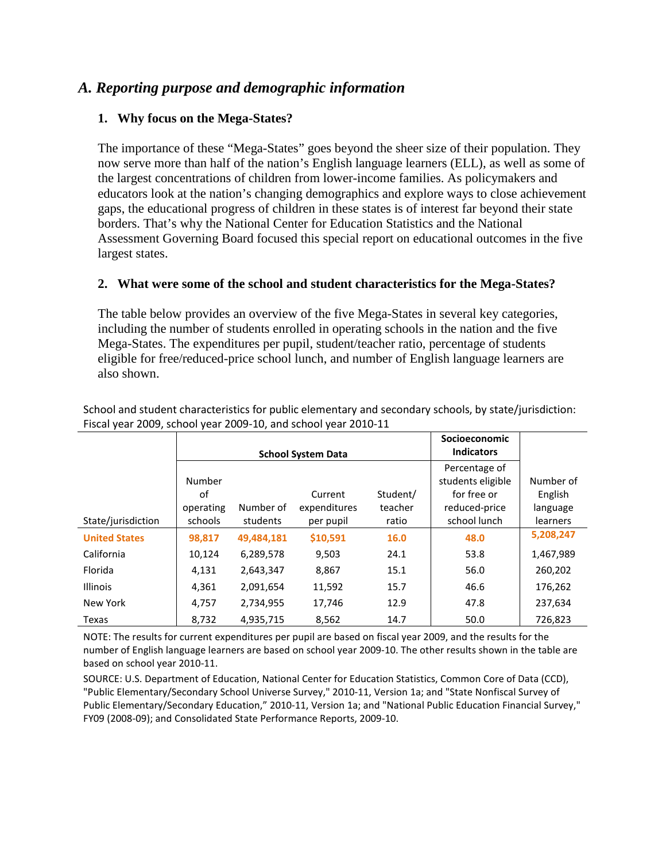## <span id="page-1-0"></span>*A. Reporting purpose and demographic information*

#### **1. Why focus on the Mega-States?**

The importance of these "Mega-States" goes beyond the sheer size of their population. They now serve more than half of the nation's English language learners (ELL), as well as some of the largest concentrations of children from lower-income families. As policymakers and educators look at the nation's changing demographics and explore ways to close achievement gaps, the educational progress of children in these states is of interest far beyond their state borders. That's why the National Center for Education Statistics and the National Assessment Governing Board focused this special report on educational outcomes in the five largest states.

#### **2. What were some of the school and student characteristics for the Mega-States?**

The table below provides an overview of the five Mega-States in several key categories, including the number of students enrolled in operating schools in the nation and the five Mega-States. The expenditures per pupil, student/teacher ratio, percentage of students eligible for free/reduced-price school lunch, and number of English language learners are also shown.

|                      |                 | <b>School System Data</b> | Socioeconomic<br><b>Indicators</b> |                     |                                    |                     |
|----------------------|-----------------|---------------------------|------------------------------------|---------------------|------------------------------------|---------------------|
|                      | Number          |                           |                                    |                     | Percentage of<br>students eligible | Number of           |
|                      | οf<br>operating | Number of                 | Current<br>expenditures            | Student/<br>teacher | for free or<br>reduced-price       | English<br>language |
| State/jurisdiction   | schools         | students                  | per pupil                          | ratio               | school lunch                       | learners            |
| <b>United States</b> | 98,817          | 49,484,181                | \$10,591                           | 16.0                | 48.0                               | 5,208,247           |
| California           | 10,124          | 6,289,578                 | 9,503                              | 24.1                | 53.8                               | 1,467,989           |
| Florida              | 4,131           | 2,643,347                 | 8,867                              | 15.1                | 56.0                               | 260,202             |
| <b>Illinois</b>      | 4,361           | 2,091,654                 | 11,592                             | 15.7                | 46.6                               | 176,262             |
| New York             | 4,757           | 2,734,955                 | 17,746                             | 12.9                | 47.8                               | 237,634             |
| Texas                | 8,732           | 4,935,715                 | 8,562                              | 14.7                | 50.0                               | 726,823             |

School and student characteristics for public elementary and secondary schools, by state/jurisdiction: Fiscal year 2009, school year 2009-10, and school year 2010-11

NOTE: The results for current expenditures per pupil are based on fiscal year 2009, and the results for the number of English language learners are based on school year 2009-10. The other results shown in the table are based on school year 2010-11.

SOURCE: U.S. Department of Education, National Center for Education Statistics, Common Core of Data (CCD), "Public Elementary/Secondary School Universe Survey," 2010-11, Version 1a; and "State Nonfiscal Survey of Public Elementary/Secondary Education," 2010-11, Version 1a; and "National Public Education Financial Survey," FY09 (2008-09); and Consolidated State Performance Reports, 2009-10.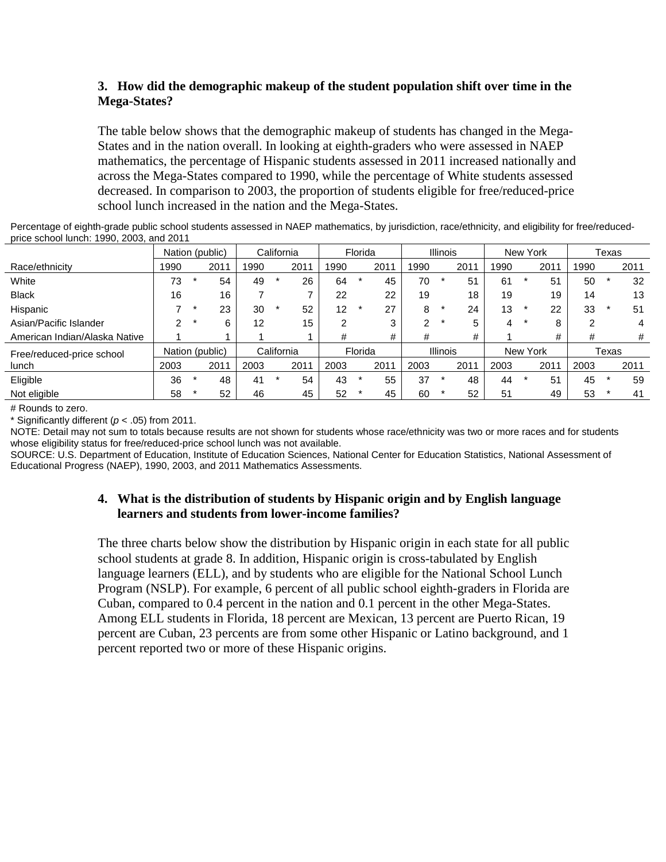#### <span id="page-2-0"></span>**3. How did the demographic makeup of the student population shift over time in the Mega-States?**

The table below shows that the demographic makeup of students has changed in the Mega-States and in the nation overall. In looking at eighth-graders who were assessed in NAEP mathematics, the percentage of Hispanic students assessed in 2011 increased nationally and across the Mega-States compared to 1990, while the percentage of White students assessed decreased. In comparison to 2003, the proportion of students eligible for free/reduced-price school lunch increased in the nation and the Mega-States.

| Percentage of eighth-grade public school students assessed in NAEP mathematics, by jurisdiction, race/ethnicity, and eligibility for free/reduced- |  |
|----------------------------------------------------------------------------------------------------------------------------------------------------|--|
| price school lunch: 1990, 2003, and 2011                                                                                                           |  |

|                               |      | Nation (public) |      | California |      | Florida |         | <b>Illinois</b> |      | New York        |      | Texas |          |      |      |       |      |
|-------------------------------|------|-----------------|------|------------|------|---------|---------|-----------------|------|-----------------|------|-------|----------|------|------|-------|------|
| Race/ethnicity                | 1990 | 2011            | 1990 |            | 201' | 990     |         | 2011            | 1990 |                 | 2011 | 1990  |          | 2011 | 1990 |       | 2011 |
| White                         | 73   | 54              | 49   |            | 26   | 64      |         | 45              | 70   |                 | 51   | 61    |          | 51   | 50   |       | 32   |
| <b>Black</b>                  | 16   | 16              |      |            |      | 22      |         | 22              | 19   |                 | 18   | 19    |          | 19   | 14   |       | 13   |
| Hispanic                      |      | 23              | 30   |            | 52   | 12      |         | 27              | 8    |                 | 24   | 13    | $\star$  | 22   | 33   |       | 51   |
| Asian/Pacific Islander        | ⌒    | 6               | 12   |            | 15   | ົ       |         | 3               | ົ    |                 | 5    | 4     | *        | 8    | 2    |       | 4    |
| American Indian/Alaska Native |      |                 |      |            |      | #       |         | #               | #    |                 | #    |       |          | #    | #    |       | #    |
| Free/reduced-price school     |      | Nation (public) |      | California |      |         | Florida |                 |      | <b>Illinois</b> |      |       | New York |      |      | Texas |      |
| lunch                         | 2003 | 2011            | 2003 |            | 201' | 2003    |         | 2011            | 2003 |                 | 2011 | 2003  |          | 2011 | 2003 |       | 2011 |
| Eligible                      | 36   | 48              | 41   | $\star$    | 54   | 43      |         | 55              | 37   |                 | 48   | 44    | $\star$  | 51   | 45   |       | 59   |
| Not eligible                  | 58   | 52              | 46   |            | 45   | 52      |         | 45              | 60   |                 | 52   | 51    |          | 49   | 53   |       | 41   |

# Rounds to zero.

\* Significantly different (*p* < .05) from 2011.

NOTE: Detail may not sum to totals because results are not shown for students whose race/ethnicity was two or more races and for students whose eligibility status for free/reduced-price school lunch was not available.

SOURCE: U.S. Department of Education, Institute of Education Sciences, National Center for Education Statistics, National Assessment of Educational Progress (NAEP), 1990, 2003, and 2011 Mathematics Assessments.

#### **4. What is the distribution of students by Hispanic origin and by English language learners and students from lower-income families?**

The three charts below show the distribution by Hispanic origin in each state for all public school students at grade 8. In addition, Hispanic origin is cross-tabulated by English language learners (ELL), and by students who are eligible for the National School Lunch Program (NSLP). For example, 6 percent of all public school eighth-graders in Florida are Cuban, compared to 0.4 percent in the nation and 0.1 percent in the other Mega-States. Among ELL students in Florida, 18 percent are Mexican, 13 percent are Puerto Rican, 19 percent are Cuban, 23 percents are from some other Hispanic or Latino background, and 1 percent reported two or more of these Hispanic origins.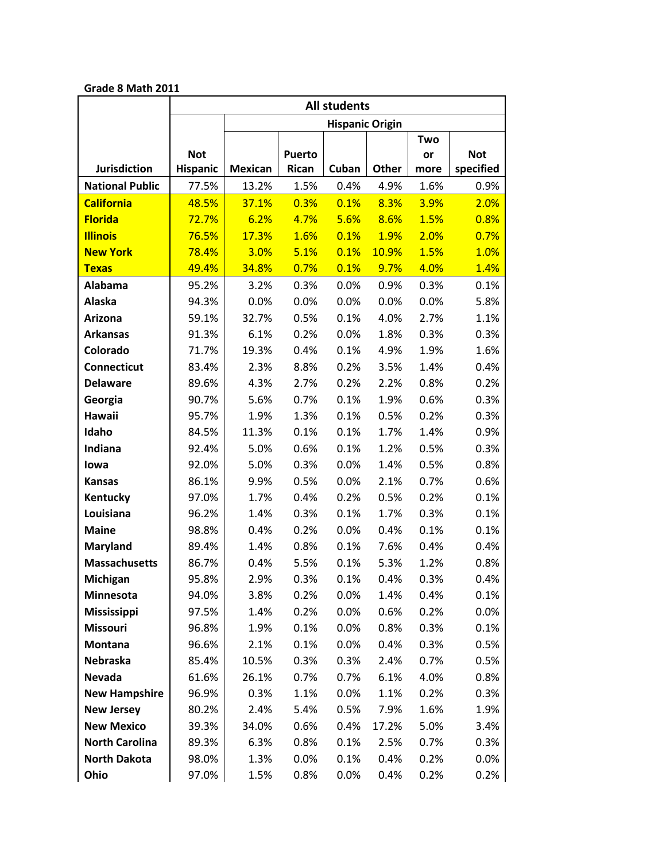|                        |                 | All students   |               |                        |       |      |            |  |  |  |
|------------------------|-----------------|----------------|---------------|------------------------|-------|------|------------|--|--|--|
|                        |                 |                |               | <b>Hispanic Origin</b> |       |      |            |  |  |  |
|                        |                 |                |               |                        |       | Two  |            |  |  |  |
|                        | <b>Not</b>      |                | <b>Puerto</b> |                        |       | or   | <b>Not</b> |  |  |  |
| <b>Jurisdiction</b>    | <b>Hispanic</b> | <b>Mexican</b> | Rican         | Cuban                  | Other | more | specified  |  |  |  |
| <b>National Public</b> | 77.5%           | 13.2%          | 1.5%          | 0.4%                   | 4.9%  | 1.6% | 0.9%       |  |  |  |
| <b>California</b>      | 48.5%           | 37.1%          | 0.3%          | 0.1%                   | 8.3%  | 3.9% | 2.0%       |  |  |  |
| <b>Florida</b>         | 72.7%           | 6.2%           | 4.7%          | 5.6%                   | 8.6%  | 1.5% | 0.8%       |  |  |  |
| <b>Illinois</b>        | 76.5%           | 17.3%          | 1.6%          | 0.1%                   | 1.9%  | 2.0% | 0.7%       |  |  |  |
| <b>New York</b>        | 78.4%           | 3.0%           | 5.1%          | 0.1%                   | 10.9% | 1.5% | 1.0%       |  |  |  |
| <b>Texas</b>           | 49.4%           | 34.8%          | 0.7%          | 0.1%                   | 9.7%  | 4.0% | 1.4%       |  |  |  |
| Alabama                | 95.2%           | 3.2%           | 0.3%          | 0.0%                   | 0.9%  | 0.3% | 0.1%       |  |  |  |
| Alaska                 | 94.3%           | 0.0%           | 0.0%          | 0.0%                   | 0.0%  | 0.0% | 5.8%       |  |  |  |
| Arizona                | 59.1%           | 32.7%          | 0.5%          | 0.1%                   | 4.0%  | 2.7% | 1.1%       |  |  |  |
| <b>Arkansas</b>        | 91.3%           | 6.1%           | 0.2%          | 0.0%                   | 1.8%  | 0.3% | 0.3%       |  |  |  |
| Colorado               | 71.7%           | 19.3%          | 0.4%          | 0.1%                   | 4.9%  | 1.9% | 1.6%       |  |  |  |
| <b>Connecticut</b>     | 83.4%           | 2.3%           | 8.8%          | 0.2%                   | 3.5%  | 1.4% | 0.4%       |  |  |  |
| <b>Delaware</b>        | 89.6%           | 4.3%           | 2.7%          | 0.2%                   | 2.2%  | 0.8% | 0.2%       |  |  |  |
| Georgia                | 90.7%           | 5.6%           | 0.7%          | 0.1%                   | 1.9%  | 0.6% | 0.3%       |  |  |  |
| Hawaii                 | 95.7%           | 1.9%           | 1.3%          | 0.1%                   | 0.5%  | 0.2% | 0.3%       |  |  |  |
| Idaho                  | 84.5%           | 11.3%          | 0.1%          | 0.1%                   | 1.7%  | 1.4% | 0.9%       |  |  |  |
| Indiana                | 92.4%           | 5.0%           | 0.6%          | 0.1%                   | 1.2%  | 0.5% | 0.3%       |  |  |  |
| lowa                   | 92.0%           | 5.0%           | 0.3%          | 0.0%                   | 1.4%  | 0.5% | 0.8%       |  |  |  |
| <b>Kansas</b>          | 86.1%           | 9.9%           | 0.5%          | 0.0%                   | 2.1%  | 0.7% | 0.6%       |  |  |  |
| Kentucky               | 97.0%           | 1.7%           | 0.4%          | 0.2%                   | 0.5%  | 0.2% | 0.1%       |  |  |  |
| Louisiana              | 96.2%           | 1.4%           | 0.3%          | 0.1%                   | 1.7%  | 0.3% | 0.1%       |  |  |  |
| <b>Maine</b>           | 98.8%           | 0.4%           | 0.2%          | 0.0%                   | 0.4%  | 0.1% | 0.1%       |  |  |  |
| Maryland               | 89.4%           | 1.4%           | 0.8%          | 0.1%                   | 7.6%  | 0.4% | 0.4%       |  |  |  |
| <b>Massachusetts</b>   | 86.7%           | 0.4%           | 5.5%          | 0.1%                   | 5.3%  | 1.2% | 0.8%       |  |  |  |
| Michigan               | 95.8%           | 2.9%           | 0.3%          | 0.1%                   | 0.4%  | 0.3% | 0.4%       |  |  |  |
| Minnesota              | 94.0%           | 3.8%           | 0.2%          | $0.0\%$                | 1.4%  | 0.4% | 0.1%       |  |  |  |
| Mississippi            | 97.5%           | 1.4%           | 0.2%          | 0.0%                   | 0.6%  | 0.2% | 0.0%       |  |  |  |
| <b>Missouri</b>        | 96.8%           | 1.9%           | 0.1%          | 0.0%                   | 0.8%  | 0.3% | 0.1%       |  |  |  |
| Montana                | 96.6%           | 2.1%           | 0.1%          | 0.0%                   | 0.4%  | 0.3% | 0.5%       |  |  |  |
| <b>Nebraska</b>        | 85.4%           | 10.5%          | 0.3%          | 0.3%                   | 2.4%  | 0.7% | 0.5%       |  |  |  |
| Nevada                 | 61.6%           | 26.1%          | 0.7%          | 0.7%                   | 6.1%  | 4.0% | 0.8%       |  |  |  |
| <b>New Hampshire</b>   | 96.9%           | 0.3%           | 1.1%          | 0.0%                   | 1.1%  | 0.2% | 0.3%       |  |  |  |
| <b>New Jersey</b>      | 80.2%           | 2.4%           | 5.4%          | 0.5%                   | 7.9%  | 1.6% | 1.9%       |  |  |  |
| <b>New Mexico</b>      | 39.3%           | 34.0%          | 0.6%          | 0.4%                   | 17.2% | 5.0% | 3.4%       |  |  |  |
| <b>North Carolina</b>  | 89.3%           | 6.3%           | 0.8%          | 0.1%                   | 2.5%  | 0.7% | 0.3%       |  |  |  |
| <b>North Dakota</b>    | 98.0%           | 1.3%           | 0.0%          | 0.1%                   | 0.4%  | 0.2% | 0.0%       |  |  |  |
| Ohio                   | 97.0%           | 1.5%           | 0.8%          | 0.0%                   | 0.4%  | 0.2% | 0.2%       |  |  |  |

#### **Grade 8 Math 2011**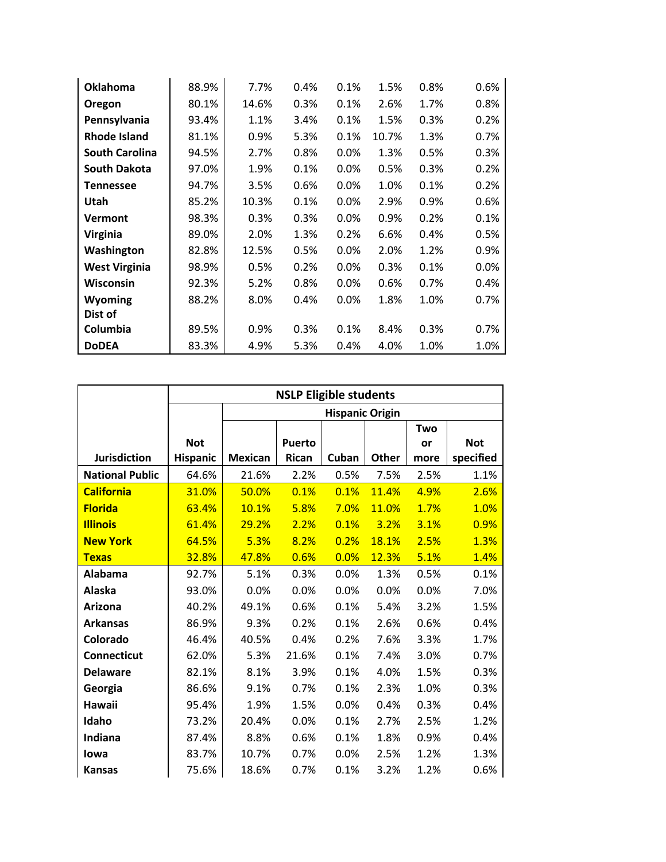| <b>Oklahoma</b>       | 88.9% | 7.7%  | 0.4% | 0.1%    | 1.5%  | 0.8% | 0.6% |
|-----------------------|-------|-------|------|---------|-------|------|------|
| Oregon                | 80.1% | 14.6% | 0.3% | 0.1%    | 2.6%  | 1.7% | 0.8% |
| Pennsylvania          | 93.4% | 1.1%  | 3.4% | 0.1%    | 1.5%  | 0.3% | 0.2% |
| Rhode Island          | 81.1% | 0.9%  | 5.3% | 0.1%    | 10.7% | 1.3% | 0.7% |
| <b>South Carolina</b> | 94.5% | 2.7%  | 0.8% | 0.0%    | 1.3%  | 0.5% | 0.3% |
| <b>South Dakota</b>   | 97.0% | 1.9%  | 0.1% | 0.0%    | 0.5%  | 0.3% | 0.2% |
| <b>Tennessee</b>      | 94.7% | 3.5%  | 0.6% | $0.0\%$ | 1.0%  | 0.1% | 0.2% |
| Utah                  | 85.2% | 10.3% | 0.1% | 0.0%    | 2.9%  | 0.9% | 0.6% |
| <b>Vermont</b>        | 98.3% | 0.3%  | 0.3% | 0.0%    | 0.9%  | 0.2% | 0.1% |
| Virginia              | 89.0% | 2.0%  | 1.3% | 0.2%    | 6.6%  | 0.4% | 0.5% |
| Washington            | 82.8% | 12.5% | 0.5% | 0.0%    | 2.0%  | 1.2% | 0.9% |
| <b>West Virginia</b>  | 98.9% | 0.5%  | 0.2% | 0.0%    | 0.3%  | 0.1% | 0.0% |
| Wisconsin             | 92.3% | 5.2%  | 0.8% | 0.0%    | 0.6%  | 0.7% | 0.4% |
| <b>Wyoming</b>        | 88.2% | 8.0%  | 0.4% | $0.0\%$ | 1.8%  | 1.0% | 0.7% |
| Dist of               |       |       |      |         |       |      |      |
| Columbia              | 89.5% | 0.9%  | 0.3% | 0.1%    | 8.4%  | 0.3% | 0.7% |
| <b>DoDEA</b>          | 83.3% | 4.9%  | 5.3% | 0.4%    | 4.0%  | 1.0% | 1.0% |

|                        |                 | <b>NSLP Eligible students</b> |               |                        |       |      |            |  |  |  |  |  |  |
|------------------------|-----------------|-------------------------------|---------------|------------------------|-------|------|------------|--|--|--|--|--|--|
|                        |                 |                               |               | <b>Hispanic Origin</b> |       |      |            |  |  |  |  |  |  |
|                        |                 |                               |               |                        |       | Two  |            |  |  |  |  |  |  |
|                        | <b>Not</b>      |                               | <b>Puerto</b> |                        |       | or   | <b>Not</b> |  |  |  |  |  |  |
| Jurisdiction           | <b>Hispanic</b> | <b>Mexican</b>                | Rican         | Cuban                  | Other | more | specified  |  |  |  |  |  |  |
| <b>National Public</b> | 64.6%           | 21.6%                         | 2.2%          | 0.5%                   | 7.5%  | 2.5% | 1.1%       |  |  |  |  |  |  |
| <b>California</b>      | 31.0%           | 50.0%                         | 0.1%          | 0.1%                   | 11.4% | 4.9% | 2.6%       |  |  |  |  |  |  |
| <b>Florida</b>         | 63.4%           | 10.1%                         | 5.8%          | 7.0%                   | 11.0% | 1.7% | 1.0%       |  |  |  |  |  |  |
| <b>Illinois</b>        | 61.4%           | 29.2%                         | 2.2%          | 0.1%                   | 3.2%  | 3.1% | 0.9%       |  |  |  |  |  |  |
| <b>New York</b>        | 64.5%           | 5.3%                          | 8.2%          | 0.2%                   | 18.1% | 2.5% | 1.3%       |  |  |  |  |  |  |
| <b>Texas</b>           | 32.8%           | 47.8%                         | 0.6%          | 0.0%                   | 12.3% | 5.1% | 1.4%       |  |  |  |  |  |  |
| Alabama                | 92.7%           | 5.1%                          | 0.3%          | 0.0%                   | 1.3%  | 0.5% | 0.1%       |  |  |  |  |  |  |
| Alaska                 | 93.0%           | 0.0%                          | 0.0%          | 0.0%                   | 0.0%  | 0.0% | 7.0%       |  |  |  |  |  |  |
| Arizona                | 40.2%           | 49.1%                         | 0.6%          | 0.1%                   | 5.4%  | 3.2% | 1.5%       |  |  |  |  |  |  |
| <b>Arkansas</b>        | 86.9%           | 9.3%                          | 0.2%          | 0.1%                   | 2.6%  | 0.6% | 0.4%       |  |  |  |  |  |  |
| Colorado               | 46.4%           | 40.5%                         | 0.4%          | 0.2%                   | 7.6%  | 3.3% | 1.7%       |  |  |  |  |  |  |
| Connecticut            | 62.0%           | 5.3%                          | 21.6%         | 0.1%                   | 7.4%  | 3.0% | 0.7%       |  |  |  |  |  |  |
| <b>Delaware</b>        | 82.1%           | 8.1%                          | 3.9%          | 0.1%                   | 4.0%  | 1.5% | 0.3%       |  |  |  |  |  |  |
| Georgia                | 86.6%           | 9.1%                          | 0.7%          | 0.1%                   | 2.3%  | 1.0% | 0.3%       |  |  |  |  |  |  |
| <b>Hawaii</b>          | 95.4%           | 1.9%                          | 1.5%          | 0.0%                   | 0.4%  | 0.3% | 0.4%       |  |  |  |  |  |  |
| Idaho                  | 73.2%           | 20.4%                         | 0.0%          | 0.1%                   | 2.7%  | 2.5% | 1.2%       |  |  |  |  |  |  |
| Indiana                | 87.4%           | 8.8%                          | 0.6%          | 0.1%                   | 1.8%  | 0.9% | 0.4%       |  |  |  |  |  |  |
| lowa                   | 83.7%           | 10.7%                         | 0.7%          | 0.0%                   | 2.5%  | 1.2% | 1.3%       |  |  |  |  |  |  |
| <b>Kansas</b>          | 75.6%           | 18.6%                         | 0.7%          | 0.1%                   | 3.2%  | 1.2% | 0.6%       |  |  |  |  |  |  |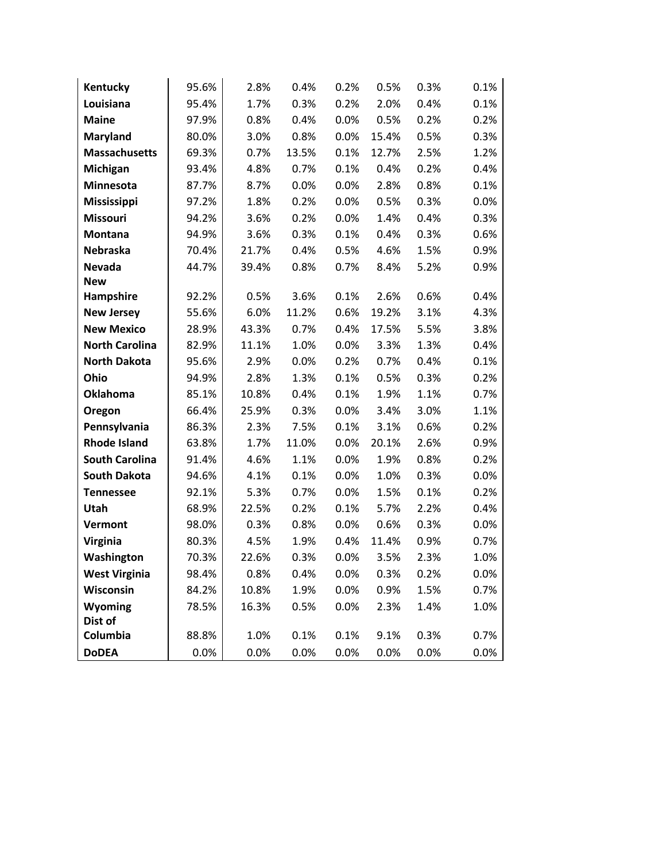| Kentucky              | 95.6% | 2.8%  | 0.4%  | 0.2% | 0.5%  | 0.3% | 0.1% |
|-----------------------|-------|-------|-------|------|-------|------|------|
| Louisiana             | 95.4% | 1.7%  | 0.3%  | 0.2% | 2.0%  | 0.4% | 0.1% |
| <b>Maine</b>          | 97.9% | 0.8%  | 0.4%  | 0.0% | 0.5%  | 0.2% | 0.2% |
| <b>Maryland</b>       | 80.0% | 3.0%  | 0.8%  | 0.0% | 15.4% | 0.5% | 0.3% |
| <b>Massachusetts</b>  | 69.3% | 0.7%  | 13.5% | 0.1% | 12.7% | 2.5% | 1.2% |
| Michigan              | 93.4% | 4.8%  | 0.7%  | 0.1% | 0.4%  | 0.2% | 0.4% |
| Minnesota             | 87.7% | 8.7%  | 0.0%  | 0.0% | 2.8%  | 0.8% | 0.1% |
| Mississippi           | 97.2% | 1.8%  | 0.2%  | 0.0% | 0.5%  | 0.3% | 0.0% |
| <b>Missouri</b>       | 94.2% | 3.6%  | 0.2%  | 0.0% | 1.4%  | 0.4% | 0.3% |
| <b>Montana</b>        | 94.9% | 3.6%  | 0.3%  | 0.1% | 0.4%  | 0.3% | 0.6% |
| Nebraska              | 70.4% | 21.7% | 0.4%  | 0.5% | 4.6%  | 1.5% | 0.9% |
| <b>Nevada</b>         | 44.7% | 39.4% | 0.8%  | 0.7% | 8.4%  | 5.2% | 0.9% |
| <b>New</b>            |       |       |       |      |       |      |      |
| Hampshire             | 92.2% | 0.5%  | 3.6%  | 0.1% | 2.6%  | 0.6% | 0.4% |
| <b>New Jersey</b>     | 55.6% | 6.0%  | 11.2% | 0.6% | 19.2% | 3.1% | 4.3% |
| <b>New Mexico</b>     | 28.9% | 43.3% | 0.7%  | 0.4% | 17.5% | 5.5% | 3.8% |
| <b>North Carolina</b> | 82.9% | 11.1% | 1.0%  | 0.0% | 3.3%  | 1.3% | 0.4% |
| <b>North Dakota</b>   | 95.6% | 2.9%  | 0.0%  | 0.2% | 0.7%  | 0.4% | 0.1% |
| Ohio                  | 94.9% | 2.8%  | 1.3%  | 0.1% | 0.5%  | 0.3% | 0.2% |
| Oklahoma              | 85.1% | 10.8% | 0.4%  | 0.1% | 1.9%  | 1.1% | 0.7% |
| Oregon                | 66.4% | 25.9% | 0.3%  | 0.0% | 3.4%  | 3.0% | 1.1% |
| Pennsylvania          | 86.3% | 2.3%  | 7.5%  | 0.1% | 3.1%  | 0.6% | 0.2% |
| <b>Rhode Island</b>   | 63.8% | 1.7%  | 11.0% | 0.0% | 20.1% | 2.6% | 0.9% |
| <b>South Carolina</b> | 91.4% | 4.6%  | 1.1%  | 0.0% | 1.9%  | 0.8% | 0.2% |
| <b>South Dakota</b>   | 94.6% | 4.1%  | 0.1%  | 0.0% | 1.0%  | 0.3% | 0.0% |
| <b>Tennessee</b>      | 92.1% | 5.3%  | 0.7%  | 0.0% | 1.5%  | 0.1% | 0.2% |
| Utah                  | 68.9% | 22.5% | 0.2%  | 0.1% | 5.7%  | 2.2% | 0.4% |
| Vermont               | 98.0% | 0.3%  | 0.8%  | 0.0% | 0.6%  | 0.3% | 0.0% |
| <b>Virginia</b>       | 80.3% | 4.5%  | 1.9%  | 0.4% | 11.4% | 0.9% | 0.7% |
| Washington            | 70.3% | 22.6% | 0.3%  | 0.0% | 3.5%  | 2.3% | 1.0% |
| <b>West Virginia</b>  | 98.4% | 0.8%  | 0.4%  | 0.0% | 0.3%  | 0.2% | 0.0% |
| Wisconsin             | 84.2% | 10.8% | 1.9%  | 0.0% | 0.9%  | 1.5% | 0.7% |
| Wyoming               | 78.5% | 16.3% | 0.5%  | 0.0% | 2.3%  | 1.4% | 1.0% |
| Dist of               |       |       |       |      |       |      |      |
| Columbia              | 88.8% | 1.0%  | 0.1%  | 0.1% | 9.1%  | 0.3% | 0.7% |
| <b>DoDEA</b>          | 0.0%  | 0.0%  | 0.0%  | 0.0% | 0.0%  | 0.0% | 0.0% |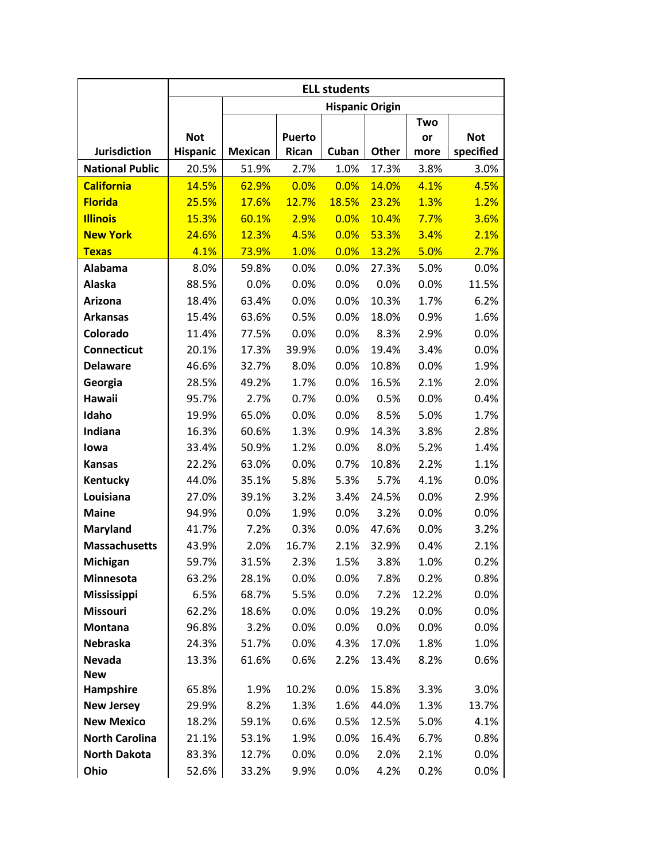|                        |                 |                |               | <b>ELL students</b>    |         |       |            |
|------------------------|-----------------|----------------|---------------|------------------------|---------|-------|------------|
|                        |                 |                |               | <b>Hispanic Origin</b> |         |       |            |
|                        |                 |                |               |                        |         | Two   |            |
|                        | <b>Not</b>      |                | <b>Puerto</b> |                        |         | or    | <b>Not</b> |
| <b>Jurisdiction</b>    | <b>Hispanic</b> | <b>Mexican</b> | Rican         | Cuban                  | Other   | more  | specified  |
| <b>National Public</b> | 20.5%           | 51.9%          | 2.7%          | 1.0%                   | 17.3%   | 3.8%  | 3.0%       |
| <b>California</b>      | 14.5%           | 62.9%          | 0.0%          | 0.0%                   | 14.0%   | 4.1%  | 4.5%       |
| <b>Florida</b>         | 25.5%           | 17.6%          | 12.7%         | 18.5%                  | 23.2%   | 1.3%  | 1.2%       |
| <b>Illinois</b>        | 15.3%           | 60.1%          | 2.9%          | 0.0%                   | 10.4%   | 7.7%  | 3.6%       |
| <b>New York</b>        | 24.6%           | 12.3%          | 4.5%          | 0.0%                   | 53.3%   | 3.4%  | 2.1%       |
| <b>Texas</b>           | 4.1%            | 73.9%          | 1.0%          | 0.0%                   | 13.2%   | 5.0%  | 2.7%       |
| Alabama                | 8.0%            | 59.8%          | 0.0%          | 0.0%                   | 27.3%   | 5.0%  | 0.0%       |
| Alaska                 | 88.5%           | 0.0%           | 0.0%          | 0.0%                   | 0.0%    | 0.0%  | 11.5%      |
| <b>Arizona</b>         | 18.4%           | 63.4%          | 0.0%          | 0.0%                   | 10.3%   | 1.7%  | 6.2%       |
| <b>Arkansas</b>        | 15.4%           | 63.6%          | 0.5%          | 0.0%                   | 18.0%   | 0.9%  | 1.6%       |
| Colorado               | 11.4%           | 77.5%          | 0.0%          | 0.0%                   | 8.3%    | 2.9%  | 0.0%       |
| <b>Connecticut</b>     | 20.1%           | 17.3%          | 39.9%         | 0.0%                   | 19.4%   | 3.4%  | 0.0%       |
| <b>Delaware</b>        | 46.6%           | 32.7%          | 8.0%          | 0.0%                   | 10.8%   | 0.0%  | 1.9%       |
| Georgia                | 28.5%           | 49.2%          | 1.7%          | 0.0%                   | 16.5%   | 2.1%  | 2.0%       |
| Hawaii                 | 95.7%           | 2.7%           | 0.7%          | 0.0%                   | 0.5%    | 0.0%  | 0.4%       |
| Idaho                  | 19.9%           | 65.0%          | 0.0%          | 0.0%                   | 8.5%    | 5.0%  | 1.7%       |
| Indiana                | 16.3%           | 60.6%          | 1.3%          | 0.9%                   | 14.3%   | 3.8%  | 2.8%       |
| lowa                   | 33.4%           | 50.9%          | 1.2%          | 0.0%                   | 8.0%    | 5.2%  | 1.4%       |
| <b>Kansas</b>          | 22.2%           | 63.0%          | 0.0%          | 0.7%                   | 10.8%   | 2.2%  | 1.1%       |
| Kentucky               | 44.0%           | 35.1%          | 5.8%          | 5.3%                   | 5.7%    | 4.1%  | 0.0%       |
| Louisiana              | 27.0%           | 39.1%          | 3.2%          | 3.4%                   | 24.5%   | 0.0%  | 2.9%       |
| <b>Maine</b>           | 94.9%           | 0.0%           | 1.9%          | 0.0%                   | 3.2%    | 0.0%  | 0.0%       |
| <b>Maryland</b>        | 41.7%           | 7.2%           | 0.3%          | 0.0%                   | 47.6%   | 0.0%  | 3.2%       |
| <b>Massachusetts</b>   | 43.9%           | 2.0%           | 16.7%         | 2.1%                   | 32.9%   | 0.4%  | 2.1%       |
| Michigan               | 59.7%           | 31.5%          | 2.3%          | 1.5%                   | 3.8%    | 1.0%  | 0.2%       |
| Minnesota              | 63.2%           | 28.1%          | 0.0%          | $0.0\%$                | 7.8%    | 0.2%  | 0.8%       |
| <b>Mississippi</b>     | 6.5%            | 68.7%          | 5.5%          | 0.0%                   | 7.2%    | 12.2% | 0.0%       |
| Missouri               | 62.2%           | 18.6%          | 0.0%          | 0.0%                   | 19.2%   | 0.0%  | 0.0%       |
| <b>Montana</b>         | 96.8%           | 3.2%           | 0.0%          | 0.0%                   | $0.0\%$ | 0.0%  | 0.0%       |
| Nebraska               | 24.3%           | 51.7%          | 0.0%          | 4.3%                   | 17.0%   | 1.8%  | 1.0%       |
| <b>Nevada</b>          | 13.3%           | 61.6%          | 0.6%          | 2.2%                   | 13.4%   | 8.2%  | 0.6%       |
| <b>New</b>             |                 |                |               |                        |         |       |            |
| Hampshire              | 65.8%           | 1.9%           | 10.2%         | 0.0%                   | 15.8%   | 3.3%  | 3.0%       |
| <b>New Jersey</b>      | 29.9%           | 8.2%           | 1.3%          | 1.6%                   | 44.0%   | 1.3%  | 13.7%      |
| <b>New Mexico</b>      | 18.2%           | 59.1%          | 0.6%          | 0.5%                   | 12.5%   | 5.0%  | 4.1%       |
| <b>North Carolina</b>  | 21.1%           | 53.1%          | 1.9%          | 0.0%                   | 16.4%   | 6.7%  | 0.8%       |
| <b>North Dakota</b>    | 83.3%           | 12.7%          | 0.0%          | $0.0\%$                | 2.0%    | 2.1%  | 0.0%       |
| Ohio                   | 52.6%           | 33.2%          | 9.9%          | $0.0\%$                | 4.2%    | 0.2%  | 0.0%       |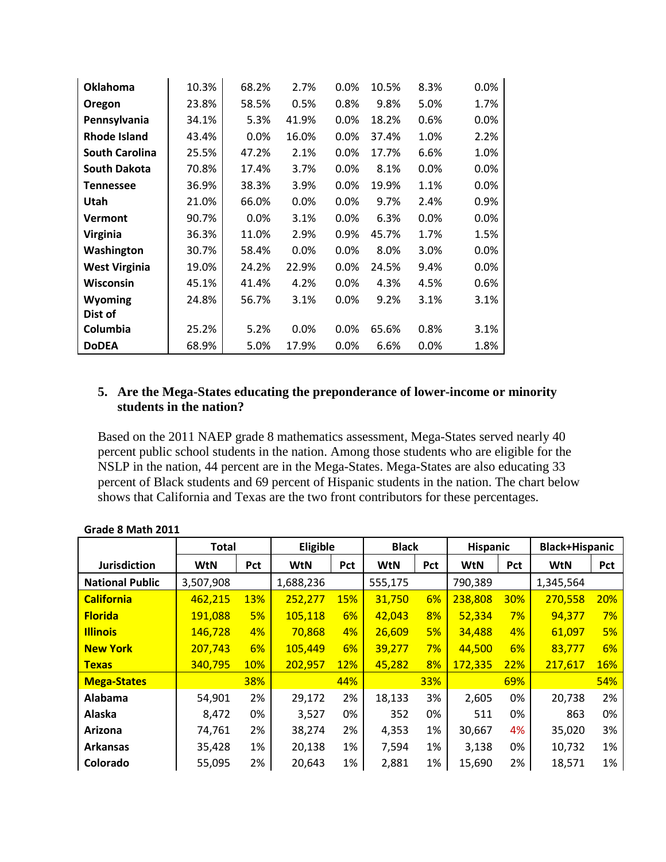<span id="page-7-0"></span>

| <b>Oklahoma</b>       | 10.3% | 68.2% | 2.7%  | $0.0\%$ | 10.5% | 8.3% | 0.0% |
|-----------------------|-------|-------|-------|---------|-------|------|------|
| Oregon                | 23.8% | 58.5% | 0.5%  | 0.8%    | 9.8%  | 5.0% | 1.7% |
| Pennsylvania          | 34.1% | 5.3%  | 41.9% | 0.0%    | 18.2% | 0.6% | 0.0% |
| <b>Rhode Island</b>   | 43.4% | 0.0%  | 16.0% | 0.0%    | 37.4% | 1.0% | 2.2% |
| <b>South Carolina</b> | 25.5% | 47.2% | 2.1%  | 0.0%    | 17.7% | 6.6% | 1.0% |
| <b>South Dakota</b>   | 70.8% | 17.4% | 3.7%  | 0.0%    | 8.1%  | 0.0% | 0.0% |
| <b>Tennessee</b>      | 36.9% | 38.3% | 3.9%  | $0.0\%$ | 19.9% | 1.1% | 0.0% |
| Utah                  | 21.0% | 66.0% | 0.0%  | 0.0%    | 9.7%  | 2.4% | 0.9% |
| <b>Vermont</b>        | 90.7% | 0.0%  | 3.1%  | 0.0%    | 6.3%  | 0.0% | 0.0% |
| Virginia              | 36.3% | 11.0% | 2.9%  | 0.9%    | 45.7% | 1.7% | 1.5% |
| Washington            | 30.7% | 58.4% | 0.0%  | 0.0%    | 8.0%  | 3.0% | 0.0% |
| <b>West Virginia</b>  | 19.0% | 24.2% | 22.9% | $0.0\%$ | 24.5% | 9.4% | 0.0% |
| Wisconsin             | 45.1% | 41.4% | 4.2%  | $0.0\%$ | 4.3%  | 4.5% | 0.6% |
| Wyoming               | 24.8% | 56.7% | 3.1%  | 0.0%    | 9.2%  | 3.1% | 3.1% |
| Dist of               |       |       |       |         |       |      |      |
| Columbia              | 25.2% | 5.2%  | 0.0%  | 0.0%    | 65.6% | 0.8% | 3.1% |
| <b>DoDEA</b>          | 68.9% | 5.0%  | 17.9% | 0.0%    | 6.6%  | 0.0% | 1.8% |

#### **5. Are the Mega-States educating the preponderance of lower-income or minority students in the nation?**

Based on the 2011 NAEP grade 8 mathematics assessment, Mega-States served nearly 40 percent public school students in the nation. Among those students who are eligible for the NSLP in the nation, 44 percent are in the Mega-States. Mega-States are also educating 33 percent of Black students and 69 percent of Hispanic students in the nation. The chart below shows that California and Texas are the two front contributors for these percentages.

|                        | <b>Total</b> |            | Eligible   |            | <b>Black</b> |            | <b>Hispanic</b> |            | <b>Black+Hispanic</b> |     |
|------------------------|--------------|------------|------------|------------|--------------|------------|-----------------|------------|-----------------------|-----|
| <b>Jurisdiction</b>    | <b>WtN</b>   | Pct        | <b>WtN</b> | Pct        | <b>WtN</b>   | <b>Pct</b> | <b>WtN</b>      | Pct        | <b>WtN</b>            | Pct |
| <b>National Public</b> | 3,507,908    |            | 1,688,236  |            | 555,175      |            | 790,389         |            | 1,345,564             |     |
| <b>California</b>      | 462,215      | <b>13%</b> | 252,277    | <b>15%</b> | 31,750       | 6%         | 238,808         | <b>30%</b> | 270,558               | 20% |
| <b>Florida</b>         | 191,088      | 5%         | 105,118    | 6%         | 42,043       | 8%         | 52,334          | 7%         | 94,377                | 7%  |
| <b>Illinois</b>        | 146,728      | 4%         | 70,868     | 4%         | 26,609       | 5%         | 34,488          | 4%         | 61,097                | 5%  |
| <b>New York</b>        | 207,743      | 6%         | 105,449    | 6%         | 39,277       | 7%         | 44,500          | 6%         | 83,777                | 6%  |
| <b>Texas</b>           | 340,795      | 10%        | 202,957    | <b>12%</b> | 45,282       | 8%         | 172,335         | 22%        | 217,617               | 16% |
| <b>Mega-States</b>     |              | 38%        |            | 44%        |              | 33%        |                 | 69%        |                       | 54% |
| Alabama                | 54,901       | 2%         | 29,172     | 2%         | 18,133       | 3%         | 2,605           | 0%         | 20,738                | 2%  |
| Alaska                 | 8,472        | 0%         | 3,527      | 0%         | 352          | 0%         | 511             | 0%         | 863                   | 0%  |
| Arizona                | 74,761       | 2%         | 38,274     | 2%         | 4,353        | 1%         | 30,667          | 4%         | 35,020                | 3%  |
| <b>Arkansas</b>        | 35,428       | 1%         | 20,138     | 1%         | 7,594        | 1%         | 3,138           | 0%         | 10,732                | 1%  |
| Colorado               | 55,095       | 2%         | 20,643     | 1%         | 2,881        | 1%         | 15,690          | 2%         | 18,571                | 1%  |

| Grade 8 Math 2011 |  |
|-------------------|--|
|-------------------|--|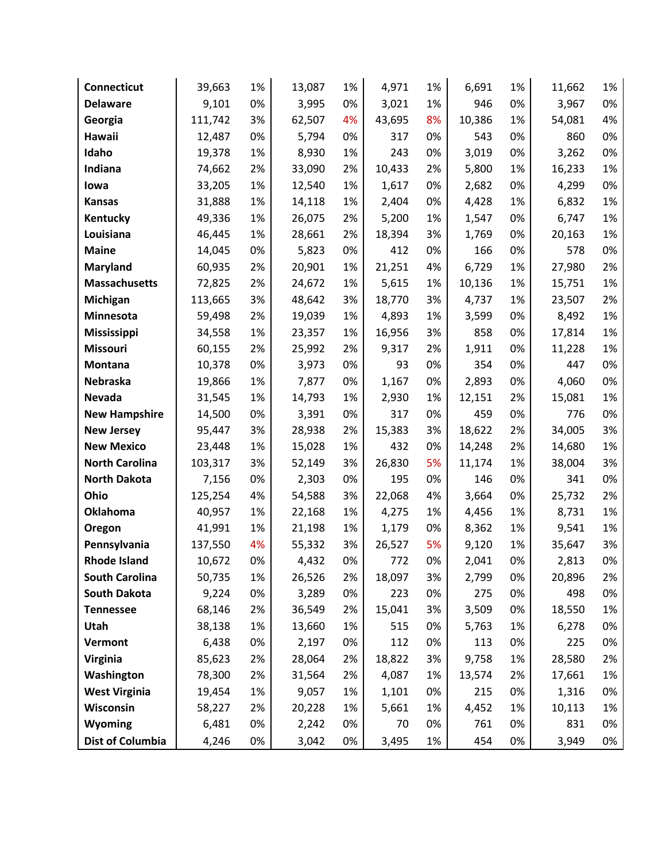| Connecticut             | 39,663  | 1% | 13,087 | 1% | 4,971  | 1% | 6,691  | 1% | 11,662 | 1%    |
|-------------------------|---------|----|--------|----|--------|----|--------|----|--------|-------|
| <b>Delaware</b>         | 9,101   | 0% | 3,995  | 0% | 3,021  | 1% | 946    | 0% | 3,967  | $0\%$ |
| Georgia                 | 111,742 | 3% | 62,507 | 4% | 43,695 | 8% | 10,386 | 1% | 54,081 | 4%    |
| Hawaii                  | 12,487  | 0% | 5,794  | 0% | 317    | 0% | 543    | 0% | 860    | 0%    |
| Idaho                   | 19,378  | 1% | 8,930  | 1% | 243    | 0% | 3,019  | 0% | 3,262  | 0%    |
| Indiana                 | 74,662  | 2% | 33,090 | 2% | 10,433 | 2% | 5,800  | 1% | 16,233 | 1%    |
| lowa                    | 33,205  | 1% | 12,540 | 1% | 1,617  | 0% | 2,682  | 0% | 4,299  | 0%    |
| <b>Kansas</b>           | 31,888  | 1% | 14,118 | 1% | 2,404  | 0% | 4,428  | 1% | 6,832  | 1%    |
| Kentucky                | 49,336  | 1% | 26,075 | 2% | 5,200  | 1% | 1,547  | 0% | 6,747  | 1%    |
| Louisiana               | 46,445  | 1% | 28,661 | 2% | 18,394 | 3% | 1,769  | 0% | 20,163 | 1%    |
| <b>Maine</b>            | 14,045  | 0% | 5,823  | 0% | 412    | 0% | 166    | 0% | 578    | 0%    |
| Maryland                | 60,935  | 2% | 20,901 | 1% | 21,251 | 4% | 6,729  | 1% | 27,980 | 2%    |
| <b>Massachusetts</b>    | 72,825  | 2% | 24,672 | 1% | 5,615  | 1% | 10,136 | 1% | 15,751 | 1%    |
| Michigan                | 113,665 | 3% | 48,642 | 3% | 18,770 | 3% | 4,737  | 1% | 23,507 | 2%    |
| Minnesota               | 59,498  | 2% | 19,039 | 1% | 4,893  | 1% | 3,599  | 0% | 8,492  | 1%    |
| <b>Mississippi</b>      | 34,558  | 1% | 23,357 | 1% | 16,956 | 3% | 858    | 0% | 17,814 | 1%    |
| <b>Missouri</b>         | 60,155  | 2% | 25,992 | 2% | 9,317  | 2% | 1,911  | 0% | 11,228 | 1%    |
| Montana                 | 10,378  | 0% | 3,973  | 0% | 93     | 0% | 354    | 0% | 447    | 0%    |
| Nebraska                | 19,866  | 1% | 7,877  | 0% | 1,167  | 0% | 2,893  | 0% | 4,060  | 0%    |
| Nevada                  | 31,545  | 1% | 14,793 | 1% | 2,930  | 1% | 12,151 | 2% | 15,081 | 1%    |
| <b>New Hampshire</b>    | 14,500  | 0% | 3,391  | 0% | 317    | 0% | 459    | 0% | 776    | 0%    |
| <b>New Jersey</b>       | 95,447  | 3% | 28,938 | 2% | 15,383 | 3% | 18,622 | 2% | 34,005 | 3%    |
| <b>New Mexico</b>       | 23,448  | 1% | 15,028 | 1% | 432    | 0% | 14,248 | 2% | 14,680 | 1%    |
| <b>North Carolina</b>   | 103,317 | 3% | 52,149 | 3% | 26,830 | 5% | 11,174 | 1% | 38,004 | 3%    |
| <b>North Dakota</b>     | 7,156   | 0% | 2,303  | 0% | 195    | 0% | 146    | 0% | 341    | 0%    |
| Ohio                    | 125,254 | 4% | 54,588 | 3% | 22,068 | 4% | 3,664  | 0% | 25,732 | 2%    |
| Oklahoma                | 40,957  | 1% | 22,168 | 1% | 4,275  | 1% | 4,456  | 1% | 8,731  | 1%    |
| Oregon                  | 41,991  | 1% | 21,198 | 1% | 1,179  | 0% | 8,362  | 1% | 9,541  | 1%    |
| Pennsylvania            | 137,550 | 4% | 55,332 | 3% | 26,527 | 5% | 9,120  | 1% | 35,647 | 3%    |
| <b>Rhode Island</b>     | 10,672  | 0% | 4,432  | 0% | 772    | 0% | 2,041  | 0% | 2,813  | 0%    |
| <b>South Carolina</b>   | 50,735  | 1% | 26,526 | 2% | 18,097 | 3% | 2,799  | 0% | 20,896 | 2%    |
| <b>South Dakota</b>     | 9,224   | 0% | 3,289  | 0% | 223    | 0% | 275    | 0% | 498    | 0%    |
| <b>Tennessee</b>        | 68,146  | 2% | 36,549 | 2% | 15,041 | 3% | 3,509  | 0% | 18,550 | 1%    |
| Utah                    | 38,138  | 1% | 13,660 | 1% | 515    | 0% | 5,763  | 1% | 6,278  | 0%    |
| Vermont                 | 6,438   | 0% | 2,197  | 0% | 112    | 0% | 113    | 0% | 225    | 0%    |
| Virginia                | 85,623  | 2% | 28,064 | 2% | 18,822 | 3% | 9,758  | 1% | 28,580 | 2%    |
| Washington              | 78,300  | 2% | 31,564 | 2% | 4,087  | 1% | 13,574 | 2% | 17,661 | 1%    |
| <b>West Virginia</b>    | 19,454  | 1% | 9,057  | 1% | 1,101  | 0% | 215    | 0% | 1,316  | 0%    |
| Wisconsin               | 58,227  | 2% | 20,228 | 1% | 5,661  | 1% | 4,452  | 1% | 10,113 | 1%    |
| Wyoming                 | 6,481   | 0% | 2,242  | 0% | 70     | 0% | 761    | 0% | 831    | 0%    |
| <b>Dist of Columbia</b> | 4,246   | 0% | 3,042  | 0% | 3,495  | 1% | 454    | 0% | 3,949  | 0%    |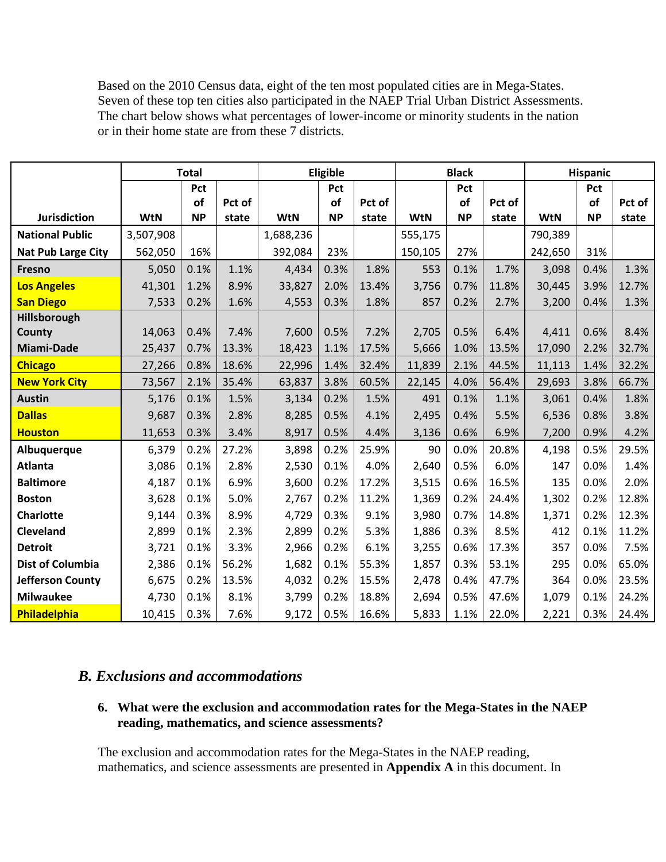<span id="page-9-0"></span>Based on the 2010 Census data, eight of the ten most populated cities are in Mega-States. Seven of these top ten cities also participated in the NAEP Trial Urban District Assessments. The chart below shows what percentages of lower-income or minority students in the nation or in their home state are from these 7 districts.

|                           | <b>Total</b> |           |        |            | Eligible  |        |            | <b>Black</b> |        |            | <b>Hispanic</b> |        |
|---------------------------|--------------|-----------|--------|------------|-----------|--------|------------|--------------|--------|------------|-----------------|--------|
|                           |              | Pct       |        |            | Pct       |        |            | Pct          |        |            | Pct             |        |
|                           |              | <b>of</b> | Pct of |            | of        | Pct of |            | <b>of</b>    | Pct of |            | <b>of</b>       | Pct of |
| Jurisdiction              | <b>WtN</b>   | <b>NP</b> | state  | <b>WtN</b> | <b>NP</b> | state  | <b>WtN</b> | <b>NP</b>    | state  | <b>WtN</b> | <b>NP</b>       | state  |
| <b>National Public</b>    | 3,507,908    |           |        | 1,688,236  |           |        | 555,175    |              |        | 790,389    |                 |        |
| <b>Nat Pub Large City</b> | 562,050      | 16%       |        | 392,084    | 23%       |        | 150,105    | 27%          |        | 242,650    | 31%             |        |
| Fresno                    | 5,050        | 0.1%      | 1.1%   | 4,434      | 0.3%      | 1.8%   | 553        | 0.1%         | 1.7%   | 3,098      | 0.4%            | 1.3%   |
| <b>Los Angeles</b>        | 41,301       | 1.2%      | 8.9%   | 33,827     | 2.0%      | 13.4%  | 3,756      | 0.7%         | 11.8%  | 30,445     | 3.9%            | 12.7%  |
| <b>San Diego</b>          | 7,533        | 0.2%      | 1.6%   | 4,553      | 0.3%      | 1.8%   | 857        | 0.2%         | 2.7%   | 3,200      | 0.4%            | 1.3%   |
| Hillsborough              |              |           |        |            |           |        |            |              |        |            |                 |        |
| County                    | 14,063       | 0.4%      | 7.4%   | 7,600      | 0.5%      | 7.2%   | 2,705      | 0.5%         | 6.4%   | 4,411      | 0.6%            | 8.4%   |
| <b>Miami-Dade</b>         | 25,437       | 0.7%      | 13.3%  | 18,423     | 1.1%      | 17.5%  | 5,666      | 1.0%         | 13.5%  | 17,090     | 2.2%            | 32.7%  |
| <b>Chicago</b>            | 27,266       | 0.8%      | 18.6%  | 22,996     | 1.4%      | 32.4%  | 11,839     | 2.1%         | 44.5%  | 11,113     | 1.4%            | 32.2%  |
| <b>New York City</b>      | 73,567       | 2.1%      | 35.4%  | 63,837     | 3.8%      | 60.5%  | 22,145     | 4.0%         | 56.4%  | 29,693     | 3.8%            | 66.7%  |
| <b>Austin</b>             | 5,176        | 0.1%      | 1.5%   | 3,134      | 0.2%      | 1.5%   | 491        | 0.1%         | 1.1%   | 3,061      | 0.4%            | 1.8%   |
| <b>Dallas</b>             | 9,687        | 0.3%      | 2.8%   | 8,285      | 0.5%      | 4.1%   | 2,495      | 0.4%         | 5.5%   | 6,536      | 0.8%            | 3.8%   |
| <b>Houston</b>            | 11,653       | 0.3%      | 3.4%   | 8,917      | 0.5%      | 4.4%   | 3,136      | 0.6%         | 6.9%   | 7,200      | 0.9%            | 4.2%   |
| Albuquerque               | 6,379        | 0.2%      | 27.2%  | 3,898      | 0.2%      | 25.9%  | 90         | 0.0%         | 20.8%  | 4,198      | 0.5%            | 29.5%  |
| <b>Atlanta</b>            | 3,086        | 0.1%      | 2.8%   | 2,530      | 0.1%      | 4.0%   | 2,640      | 0.5%         | 6.0%   | 147        | 0.0%            | 1.4%   |
| <b>Baltimore</b>          | 4,187        | 0.1%      | 6.9%   | 3,600      | 0.2%      | 17.2%  | 3,515      | 0.6%         | 16.5%  | 135        | 0.0%            | 2.0%   |
| <b>Boston</b>             | 3,628        | 0.1%      | 5.0%   | 2,767      | 0.2%      | 11.2%  | 1,369      | 0.2%         | 24.4%  | 1,302      | 0.2%            | 12.8%  |
| <b>Charlotte</b>          | 9,144        | 0.3%      | 8.9%   | 4,729      | 0.3%      | 9.1%   | 3,980      | 0.7%         | 14.8%  | 1,371      | 0.2%            | 12.3%  |
| Cleveland                 | 2,899        | 0.1%      | 2.3%   | 2,899      | 0.2%      | 5.3%   | 1,886      | 0.3%         | 8.5%   | 412        | 0.1%            | 11.2%  |
| <b>Detroit</b>            | 3,721        | 0.1%      | 3.3%   | 2,966      | 0.2%      | 6.1%   | 3,255      | 0.6%         | 17.3%  | 357        | 0.0%            | 7.5%   |
| <b>Dist of Columbia</b>   | 2,386        | 0.1%      | 56.2%  | 1,682      | 0.1%      | 55.3%  | 1,857      | 0.3%         | 53.1%  | 295        | 0.0%            | 65.0%  |
| <b>Jefferson County</b>   | 6,675        | 0.2%      | 13.5%  | 4,032      | 0.2%      | 15.5%  | 2,478      | 0.4%         | 47.7%  | 364        | 0.0%            | 23.5%  |
| <b>Milwaukee</b>          | 4,730        | 0.1%      | 8.1%   | 3,799      | 0.2%      | 18.8%  | 2,694      | 0.5%         | 47.6%  | 1,079      | 0.1%            | 24.2%  |
| Philadelphia              | 10,415       | 0.3%      | 7.6%   | 9,172      | 0.5%      | 16.6%  | 5,833      | 1.1%         | 22.0%  | 2,221      | 0.3%            | 24.4%  |

#### *B. Exclusions and accommodations*

#### **6. What were the exclusion and accommodation rates for the Mega-States in the NAEP reading, mathematics, and science assessments?**

The exclusion and accommodation rates for the Mega-States in the NAEP reading, mathematics, and science assessments are presented in **Appendix A** in this document. In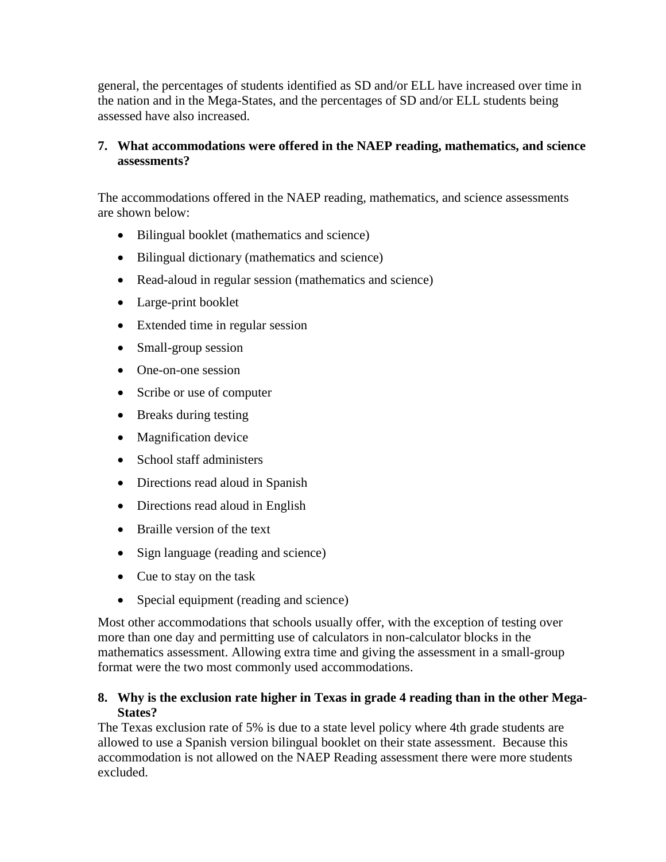<span id="page-10-0"></span>general, the percentages of students identified as SD and/or ELL have increased over time in the nation and in the Mega-States, and the percentages of SD and/or ELL students being assessed have also increased.

#### **7. What accommodations were offered in the NAEP reading, mathematics, and science assessments?**

The accommodations offered in the NAEP reading, mathematics, and science assessments are shown below:

- Bilingual booklet (mathematics and science)
- Bilingual dictionary (mathematics and science)
- Read-aloud in regular session (mathematics and science)
- Large-print booklet
- Extended time in regular session
- Small-group session
- One-on-one session
- Scribe or use of computer
- Breaks during testing
- Magnification device
- School staff administers
- Directions read aloud in Spanish
- Directions read aloud in English
- Braille version of the text
- Sign language (reading and science)
- Cue to stay on the task
- Special equipment (reading and science)

Most other accommodations that schools usually offer, with the exception of testing over more than one day and permitting use of calculators in non-calculator blocks in the mathematics assessment. Allowing extra time and giving the assessment in a small-group format were the two most commonly used accommodations.

#### **8. Why is the exclusion rate higher in Texas in grade 4 reading than in the other Mega-States?**

The Texas exclusion rate of 5% is due to a state level policy where 4th grade students are allowed to use a Spanish version bilingual booklet on their state assessment. Because this accommodation is not allowed on the NAEP Reading assessment there were more students excluded.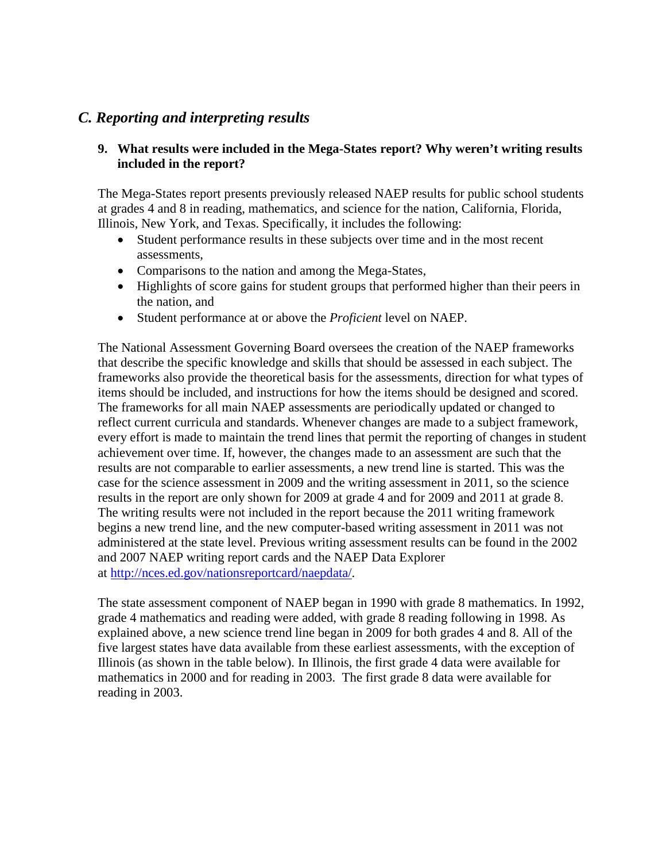### <span id="page-11-0"></span>*C. Reporting and interpreting results*

#### **9. What results were included in the Mega-States report? Why weren't writing results included in the report?**

The Mega-States report presents previously released NAEP results for public school students at grades 4 and 8 in reading, mathematics, and science for the nation, California, Florida, Illinois, New York, and Texas. Specifically, it includes the following:

- Student performance results in these subjects over time and in the most recent assessments,
- Comparisons to the nation and among the Mega-States,
- Highlights of score gains for student groups that performed higher than their peers in the nation, and
- Student performance at or above the *Proficient* level on NAEP.

The National Assessment Governing Board oversees the creation of the NAEP frameworks that describe the specific knowledge and skills that should be assessed in each subject. The frameworks also provide the theoretical basis for the assessments, direction for what types of items should be included, and instructions for how the items should be designed and scored. The frameworks for all main NAEP assessments are periodically updated or changed to reflect current curricula and standards. Whenever changes are made to a subject framework, every effort is made to maintain the trend lines that permit the reporting of changes in student achievement over time. If, however, the changes made to an assessment are such that the results are not comparable to earlier assessments, a new trend line is started. This was the case for the science assessment in 2009 and the writing assessment in 2011, so the science results in the report are only shown for 2009 at grade 4 and for 2009 and 2011 at grade 8. The writing results were not included in the report because the 2011 writing framework begins a new trend line, and the new computer-based writing assessment in 2011 was not administered at the state level. Previous writing assessment results can be found in the 2002 and 2007 NAEP writing report cards and the NAEP Data Explorer at [http://nces.ed.gov/nationsreportcard/naepdata/.](http://nces.ed.gov/nationsreportcard/naepdata/)

The state assessment component of NAEP began in 1990 with grade 8 mathematics. In 1992, grade 4 mathematics and reading were added, with grade 8 reading following in 1998. As explained above, a new science trend line began in 2009 for both grades 4 and 8. All of the five largest states have data available from these earliest assessments, with the exception of Illinois (as shown in the table below). In Illinois, the first grade 4 data were available for mathematics in 2000 and for reading in 2003. The first grade 8 data were available for reading in 2003.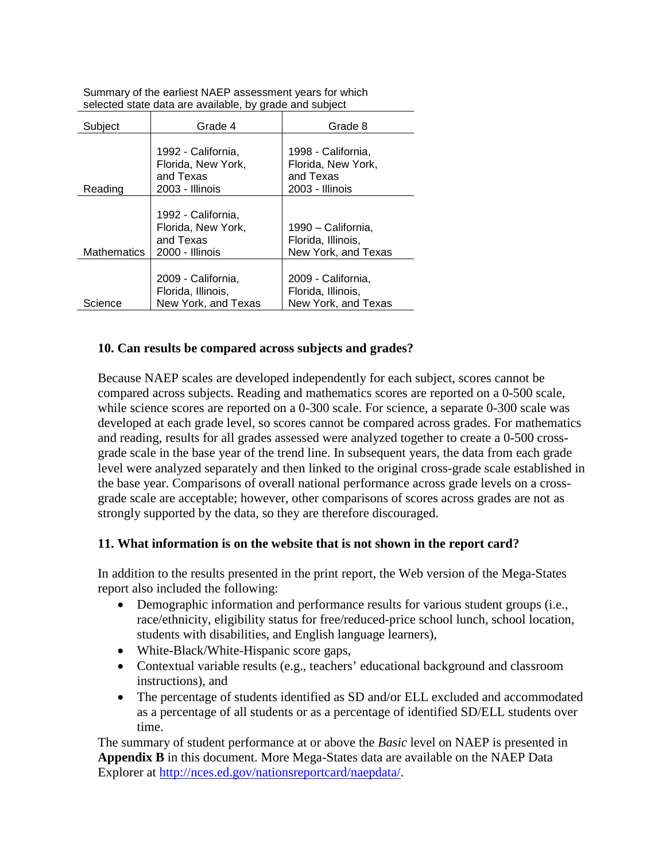| Subject            | Grade 4                                                                  | Grade 8                                                                  |
|--------------------|--------------------------------------------------------------------------|--------------------------------------------------------------------------|
| Reading            | 1992 - California,<br>Florida, New York,<br>and Texas<br>2003 - Illinois | 1998 - California,<br>Florida, New York,<br>and Texas<br>2003 - Illinois |
| <b>Mathematics</b> | 1992 - California,<br>Florida, New York,<br>and Texas<br>2000 - Illinois | 1990 – California,<br>Florida, Illinois,<br>New York, and Texas          |
| Science            | 2009 - California,<br>Florida, Illinois,<br>New York, and Texas          | 2009 - California,<br>Florida, Illinois,<br>New York, and Texas          |

<span id="page-12-0"></span>Summary of the earliest NAEP assessment years for which selected state data are available, by grade and subject

#### **10. Can results be compared across subjects and grades?**

Because NAEP scales are developed independently for each subject, scores cannot be compared across subjects. Reading and mathematics scores are reported on a 0-500 scale, while science scores are reported on a 0-300 scale. For science, a separate 0-300 scale was developed at each grade level, so scores cannot be compared across grades. For mathematics and reading, results for all grades assessed were analyzed together to create a 0-500 crossgrade scale in the base year of the trend line. In subsequent years, the data from each grade level were analyzed separately and then linked to the original cross-grade scale established in the base year. Comparisons of overall national performance across grade levels on a crossgrade scale are acceptable; however, other comparisons of scores across grades are not as strongly supported by the data, so they are therefore discouraged.

#### **11. What information is on the website that is not shown in the report card?**

In addition to the results presented in the print report, the Web version of the Mega-States report also included the following:

- Demographic information and performance results for various student groups (i.e., race/ethnicity, eligibility status for free/reduced-price school lunch, school location, students with disabilities, and English language learners),
- White-Black/White-Hispanic score gaps,
- Contextual variable results (e.g., teachers' educational background and classroom instructions), and
- The percentage of students identified as SD and/or ELL excluded and accommodated as a percentage of all students or as a percentage of identified SD/ELL students over time.

The summary of student performance at or above the *Basic* level on NAEP is presented in **Appendix B** in this document. More Mega-States data are available on the NAEP Data Explorer at [http://nces.ed.gov/nationsreportcard/naepdata/.](http://nces.ed.gov/nationsreportcard/naepdata/)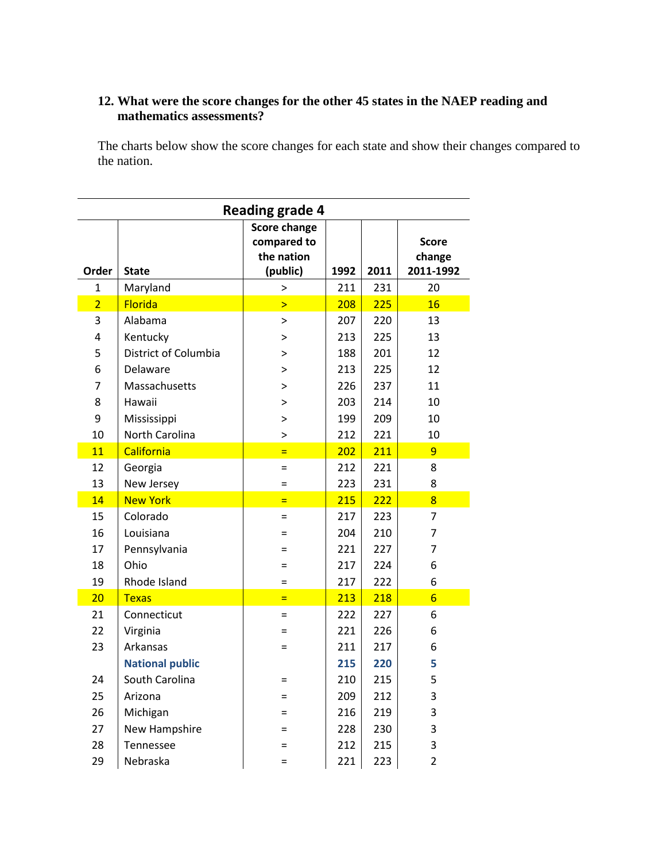#### <span id="page-13-0"></span>**12. What were the score changes for the other 45 states in the NAEP reading and mathematics assessments?**

The charts below show the score changes for each state and show their changes compared to the nation.

| <b>Reading grade 4</b> |                        |                                                              |      |      |                                     |  |  |  |  |  |  |
|------------------------|------------------------|--------------------------------------------------------------|------|------|-------------------------------------|--|--|--|--|--|--|
| Order                  | <b>State</b>           | <b>Score change</b><br>compared to<br>the nation<br>(public) | 1992 | 2011 | <b>Score</b><br>change<br>2011-1992 |  |  |  |  |  |  |
| 1                      | Maryland               | >                                                            | 211  | 231  | 20                                  |  |  |  |  |  |  |
| $\overline{2}$         | <b>Florida</b>         | $\mathbf{I}$                                                 | 208  | 225  | 16                                  |  |  |  |  |  |  |
| 3                      | Alabama                | $\, > \,$                                                    | 207  | 220  | 13                                  |  |  |  |  |  |  |
| 4                      | Kentucky               | $\mathbf{I}$                                                 | 213  | 225  | 13                                  |  |  |  |  |  |  |
| 5                      | District of Columbia   | >                                                            | 188  | 201  | 12                                  |  |  |  |  |  |  |
| 6                      | Delaware               | >                                                            | 213  | 225  | 12                                  |  |  |  |  |  |  |
| 7                      | Massachusetts          | $\mathbf{I}$                                                 | 226  | 237  | 11                                  |  |  |  |  |  |  |
| 8                      | Hawaii                 | $\geq$                                                       | 203  | 214  | 10                                  |  |  |  |  |  |  |
| 9                      | Mississippi            | $\, > \,$                                                    | 199  | 209  | 10                                  |  |  |  |  |  |  |
| 10                     | North Carolina         | $\, > \,$                                                    | 212  | 221  | 10                                  |  |  |  |  |  |  |
| 11                     | California             | $\equiv$                                                     | 202  | 211  | $\overline{9}$                      |  |  |  |  |  |  |
| 12                     | Georgia                | $=$                                                          | 212  | 221  | 8                                   |  |  |  |  |  |  |
| 13                     | New Jersey             | $=$                                                          | 223  | 231  | 8                                   |  |  |  |  |  |  |
| 14                     | <b>New York</b>        | $=$                                                          | 215  | 222  | 8                                   |  |  |  |  |  |  |
| 15                     | Colorado               | $=$                                                          | 217  | 223  | 7                                   |  |  |  |  |  |  |
| 16                     | Louisiana              | =                                                            | 204  | 210  | 7                                   |  |  |  |  |  |  |
| 17                     | Pennsylvania           | =                                                            | 221  | 227  | 7                                   |  |  |  |  |  |  |
| 18                     | Ohio                   | $=$                                                          | 217  | 224  | 6                                   |  |  |  |  |  |  |
| 19                     | Rhode Island           | $=$                                                          | 217  | 222  | 6                                   |  |  |  |  |  |  |
| 20                     | <b>Texas</b>           | $=$                                                          | 213  | 218  | $6\overline{6}$                     |  |  |  |  |  |  |
| 21                     | Connecticut            | $=$                                                          | 222  | 227  | 6                                   |  |  |  |  |  |  |
| 22                     | Virginia               | $=$                                                          | 221  | 226  | 6                                   |  |  |  |  |  |  |
| 23                     | Arkansas               | =                                                            | 211  | 217  | 6                                   |  |  |  |  |  |  |
|                        | <b>National public</b> |                                                              | 215  | 220  | 5                                   |  |  |  |  |  |  |
| 24                     | South Carolina         | $=$                                                          | 210  | 215  | 5                                   |  |  |  |  |  |  |
| 25                     | Arizona                | $=$                                                          | 209  | 212  | 3                                   |  |  |  |  |  |  |
| 26                     | Michigan               | =                                                            | 216  | 219  | 3                                   |  |  |  |  |  |  |
| 27                     | New Hampshire          | $=$                                                          | 228  | 230  | 3                                   |  |  |  |  |  |  |
| 28                     | Tennessee              |                                                              | 212  | 215  | 3                                   |  |  |  |  |  |  |
| 29                     | Nebraska               | =                                                            | 221  | 223  | $\overline{2}$                      |  |  |  |  |  |  |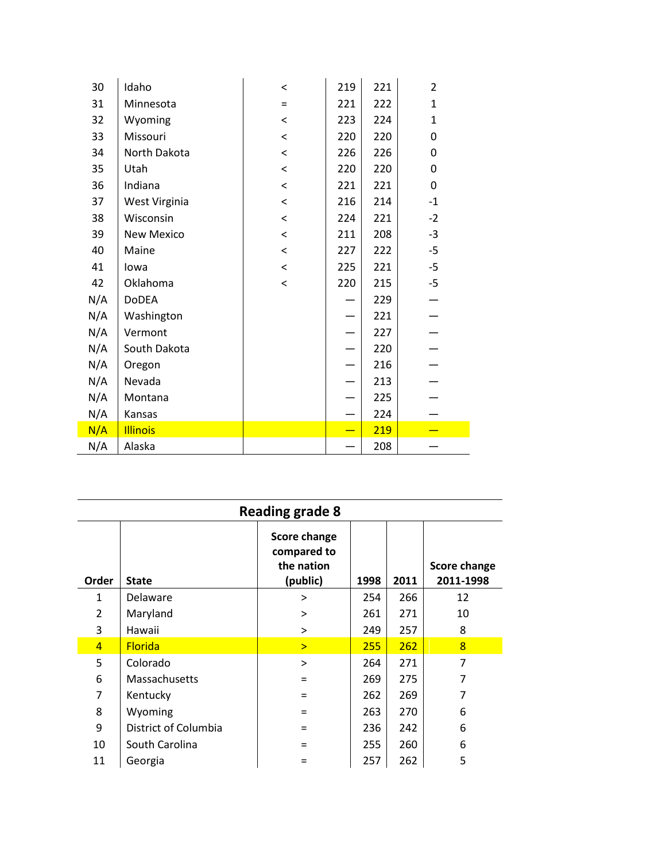| 30<br>Idaho            |               | $\,<$ | 219                      | 221 | $\overline{2}$ |  |
|------------------------|---------------|-------|--------------------------|-----|----------------|--|
| 31                     | Minnesota     | $=$   | 221                      | 222 | $\mathbf{1}$   |  |
| 32                     | Wyoming       | $\,<$ | 223                      | 224 | $\mathbf{1}$   |  |
| 33                     | Missouri      | $\,<$ | 220                      | 220 | 0              |  |
| 34                     | North Dakota  | $\,<$ | 226                      | 226 | 0              |  |
| 35<br>Utah             |               | $\,<$ | 220                      | 220 | 0              |  |
| 36                     | Indiana       | $\,<$ | 221                      | 221 | 0              |  |
| 37                     | West Virginia | $\,<$ | 216                      | 214 | $-1$           |  |
| 38                     | Wisconsin     | $\,<$ | 224                      | 221 | $-2$           |  |
| 39                     | New Mexico    | $\,<$ | 211                      | 208 | $-3$           |  |
| 40<br>Maine            |               | $\,<$ | 227                      | 222 | $-5$           |  |
| 41<br>lowa             |               | $\,<$ | 225                      | 221 | $-5$           |  |
| 42                     | Oklahoma      | $\,<$ | 220                      | 215 | $-5$           |  |
| N/A                    | DoDEA         |       |                          | 229 |                |  |
| N/A                    | Washington    |       |                          | 221 |                |  |
| N/A                    | Vermont       |       |                          | 227 |                |  |
| N/A                    | South Dakota  |       |                          | 220 |                |  |
| N/A                    | Oregon        |       |                          | 216 |                |  |
| N/A                    | Nevada        |       |                          | 213 |                |  |
| N/A                    | Montana       |       |                          | 225 |                |  |
| N/A                    | Kansas        |       |                          | 224 |                |  |
| N/A<br><b>Illinois</b> |               |       | $\overline{\phantom{0}}$ | 219 |                |  |
| N/A<br>Alaska          |               |       |                          | 208 |                |  |

|                | <b>Reading grade 8</b> |                                                              |      |      |                                  |  |  |  |  |  |  |  |
|----------------|------------------------|--------------------------------------------------------------|------|------|----------------------------------|--|--|--|--|--|--|--|
| Order          | <b>State</b>           | <b>Score change</b><br>compared to<br>the nation<br>(public) | 1998 | 2011 | <b>Score change</b><br>2011-1998 |  |  |  |  |  |  |  |
| $\mathbf{1}$   | Delaware               | >                                                            | 254  | 266  | 12                               |  |  |  |  |  |  |  |
| $\overline{2}$ | Maryland               | >                                                            | 261  | 271  | 10                               |  |  |  |  |  |  |  |
| 3              | Hawaii                 | >                                                            | 249  | 257  | 8                                |  |  |  |  |  |  |  |
| $\overline{4}$ | <b>Florida</b>         | $\geq$                                                       | 255  | 262  | $\overline{8}$                   |  |  |  |  |  |  |  |
| 5              | Colorado               | $\geq$                                                       | 264  | 271  | $\overline{7}$                   |  |  |  |  |  |  |  |
| 6              | Massachusetts          |                                                              | 269  | 275  | 7                                |  |  |  |  |  |  |  |
| 7              | Kentucky               |                                                              | 262  | 269  | 7                                |  |  |  |  |  |  |  |
| 8              | Wyoming                |                                                              | 263  | 270  | 6                                |  |  |  |  |  |  |  |
| 9              | District of Columbia   |                                                              | 236  | 242  | 6                                |  |  |  |  |  |  |  |
| 10             | South Carolina         |                                                              | 255  | 260  | 6                                |  |  |  |  |  |  |  |
| 11             | Georgia                |                                                              | 257  | 262  | 5                                |  |  |  |  |  |  |  |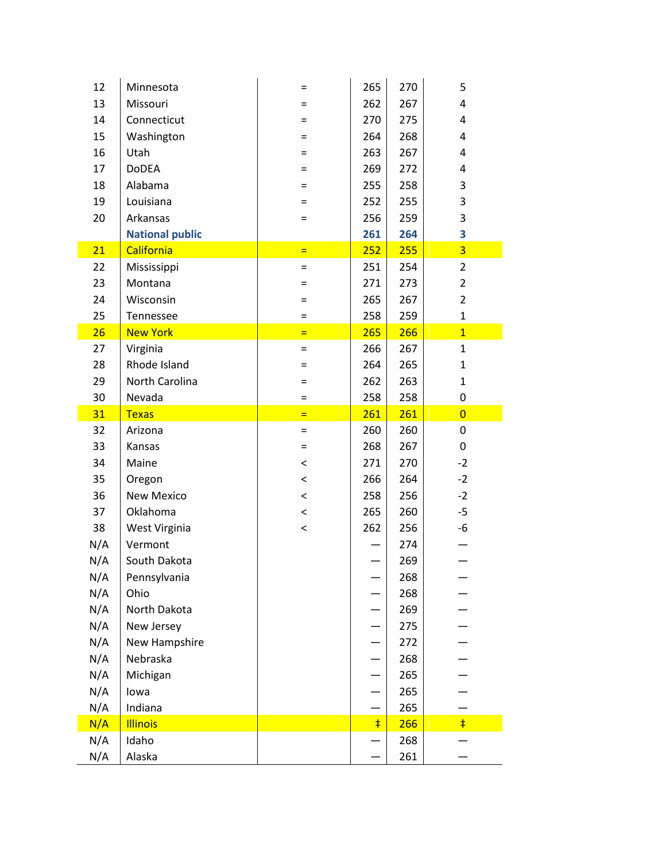| 12  | Minnesota              | $=$     | 265        | 270 | 5              |
|-----|------------------------|---------|------------|-----|----------------|
| 13  | Missouri               | Ξ       | 262        | 267 | 4              |
| 14  | Connecticut            | Ξ       | 270        | 275 | 4              |
| 15  | Washington             | Ξ       | 264        | 268 | 4              |
| 16  | Utah                   | Ξ       | 263        | 267 | 4              |
| 17  | <b>DoDEA</b>           | Ξ       | 269        | 272 | 4              |
| 18  | Alabama                | Ξ       | 255        | 258 | 3              |
| 19  | Louisiana              | Ξ       | 252        | 255 | 3              |
| 20  | Arkansas               | Ξ       | 256        | 259 | 3              |
|     | <b>National public</b> |         | 261        | 264 | 3              |
| 21  | California             | $=$     | 252        | 255 | $\overline{3}$ |
| 22  | Mississippi            | $=$     | 251        | 254 | $\overline{2}$ |
| 23  | Montana                | =       | 271        | 273 | $\overline{2}$ |
| 24  | Wisconsin              | $=$     | 265        | 267 | $\overline{2}$ |
| 25  | Tennessee              | Ξ       | 258        | 259 | $\mathbf 1$    |
| 26  | <b>New York</b>        | $=$     | 265        | 266 | $\overline{1}$ |
| 27  | Virginia               | $=$     | 266        | 267 | $\mathbf{1}$   |
| 28  | Rhode Island           | $=$     | 264        | 265 | $\mathbf{1}$   |
| 29  | North Carolina         | =       | 262        | 263 | $\mathbf{1}$   |
| 30  | Nevada                 | =       | 258        | 258 | 0              |
| 31  | <b>Texas</b>           | $=$     | 261        | 261 | $\overline{0}$ |
| 32  | Arizona                | $=$     | 260        | 260 | 0              |
| 33  | Kansas                 | $=$     | 268        | 267 | 0              |
| 34  | Maine                  | $\,<$   | 271        | 270 | $-2$           |
| 35  | Oregon                 | $\,<$   | 266        | 264 | $-2$           |
| 36  | <b>New Mexico</b>      | $\,<\,$ | 258        | 256 | $-2$           |
| 37  | Oklahoma               | $\,<$   | 265        | 260 | $-5$           |
| 38  | West Virginia          | $\,<$   | 262        | 256 | -6             |
| N/A | Vermont                |         |            | 274 |                |
| N/A | South Dakota           |         |            | 269 |                |
| N/A | Pennsylvania           |         |            | 268 |                |
| N/A | Ohio                   |         |            | 268 |                |
| N/A | North Dakota           |         |            | 269 |                |
| N/A | New Jersey             |         |            | 275 |                |
| N/A | New Hampshire          |         |            | 272 |                |
| N/A | Nebraska               |         |            | 268 |                |
| N/A | Michigan               |         |            | 265 |                |
| N/A | lowa                   |         |            | 265 |                |
| N/A | Indiana                |         |            | 265 |                |
| N/A | <b>Illinois</b>        |         | $\ddagger$ | 266 | $\ddagger$     |
| N/A | Idaho                  |         |            | 268 |                |
| N/A | Alaska                 |         |            | 261 |                |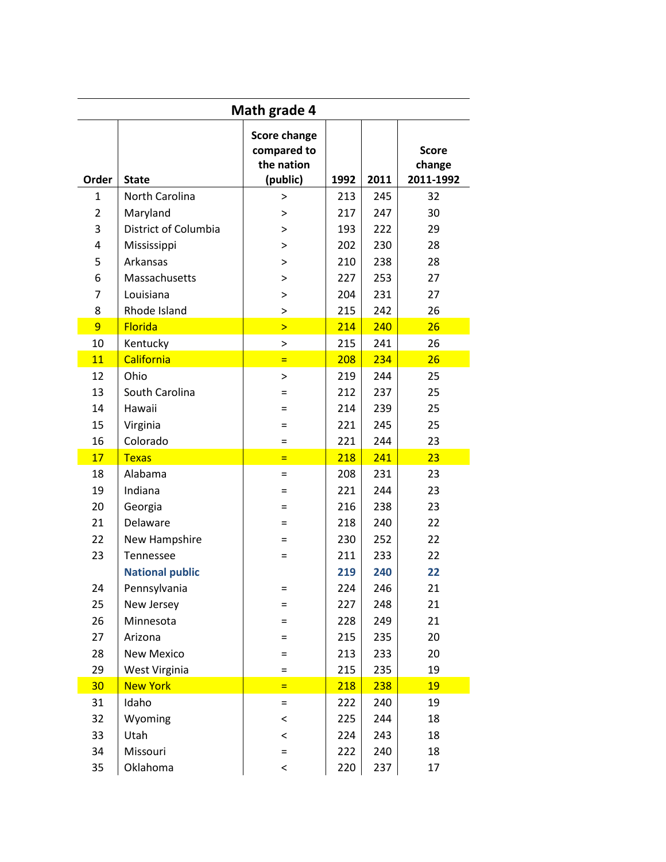| <b>Math grade 4</b> |                        |                                                              |      |      |                                     |  |  |  |  |  |  |
|---------------------|------------------------|--------------------------------------------------------------|------|------|-------------------------------------|--|--|--|--|--|--|
| Order               | <b>State</b>           | <b>Score change</b><br>compared to<br>the nation<br>(public) | 1992 | 2011 | <b>Score</b><br>change<br>2011-1992 |  |  |  |  |  |  |
| $\mathbf{1}$        | North Carolina         | >                                                            | 213  | 245  | 32                                  |  |  |  |  |  |  |
| $\overline{2}$      | Maryland               | >                                                            | 217  | 247  | 30                                  |  |  |  |  |  |  |
| 3                   | District of Columbia   | >                                                            | 193  | 222  | 29                                  |  |  |  |  |  |  |
| 4                   | Mississippi            | >                                                            | 202  | 230  | 28                                  |  |  |  |  |  |  |
| 5                   | Arkansas               | >                                                            | 210  | 238  | 28                                  |  |  |  |  |  |  |
| 6                   | Massachusetts          | >                                                            | 227  | 253  | 27                                  |  |  |  |  |  |  |
| 7                   | Louisiana              | >                                                            | 204  | 231  | 27                                  |  |  |  |  |  |  |
| 8                   | Rhode Island           | >                                                            | 215  | 242  | 26                                  |  |  |  |  |  |  |
| 9                   | <b>Florida</b>         | $\overline{\phantom{1}}$                                     | 214  | 240  | 26                                  |  |  |  |  |  |  |
| 10                  | Kentucky               | $\, > \,$                                                    | 215  | 241  | 26                                  |  |  |  |  |  |  |
| 11                  | California             | $=$                                                          | 208  | 234  | 26                                  |  |  |  |  |  |  |
| 12                  | Ohio                   | >                                                            | 219  | 244  | 25                                  |  |  |  |  |  |  |
| 13                  | South Carolina         |                                                              | 212  | 237  | 25                                  |  |  |  |  |  |  |
| 14                  | Hawaii                 | =                                                            | 214  | 239  | 25                                  |  |  |  |  |  |  |
| 15                  | Virginia               | =                                                            | 221  | 245  | 25                                  |  |  |  |  |  |  |
| 16                  | Colorado               | =                                                            | 221  | 244  | 23                                  |  |  |  |  |  |  |
| 17                  | <b>Texas</b>           | $=$                                                          | 218  | 241  | 23                                  |  |  |  |  |  |  |
| 18                  | Alabama                | $=$                                                          | 208  | 231  | 23                                  |  |  |  |  |  |  |
| 19                  | Indiana                | =                                                            | 221  | 244  | 23                                  |  |  |  |  |  |  |
| 20                  | Georgia                | =                                                            | 216  | 238  | 23                                  |  |  |  |  |  |  |
| 21                  | Delaware               |                                                              | 218  | 240  | 22                                  |  |  |  |  |  |  |
| 22                  | New Hampshire          |                                                              | 230  | 252  | 22                                  |  |  |  |  |  |  |
| 23                  | Tennessee              |                                                              | 211  | 233  | 22                                  |  |  |  |  |  |  |
|                     | <b>National public</b> |                                                              | 219  | 240  | 22                                  |  |  |  |  |  |  |
| 24                  | Pennsylvania           | =                                                            | 224  | 246  | 21                                  |  |  |  |  |  |  |
| 25                  | New Jersey             | =                                                            | 227  | 248  | 21                                  |  |  |  |  |  |  |
| 26                  | Minnesota              | =                                                            | 228  | 249  | 21                                  |  |  |  |  |  |  |
| 27                  | Arizona                | =                                                            | 215  | 235  | 20                                  |  |  |  |  |  |  |
| 28                  | <b>New Mexico</b>      | =                                                            | 213  | 233  | 20                                  |  |  |  |  |  |  |
| 29                  | West Virginia          | $=$                                                          | 215  | 235  | 19                                  |  |  |  |  |  |  |
| 30                  | <b>New York</b>        | $\equiv$                                                     | 218  | 238  | 19                                  |  |  |  |  |  |  |
| 31                  | Idaho                  | $=$                                                          | 222  | 240  | 19                                  |  |  |  |  |  |  |
| 32                  | Wyoming                | $\,<$                                                        | 225  | 244  | 18                                  |  |  |  |  |  |  |
| 33                  | Utah                   | $\,<\,$                                                      | 224  | 243  | 18                                  |  |  |  |  |  |  |
| 34                  | Missouri               | $=$                                                          | 222  | 240  | 18                                  |  |  |  |  |  |  |
| 35                  | Oklahoma               | $\,<\,$                                                      | 220  | 237  | 17                                  |  |  |  |  |  |  |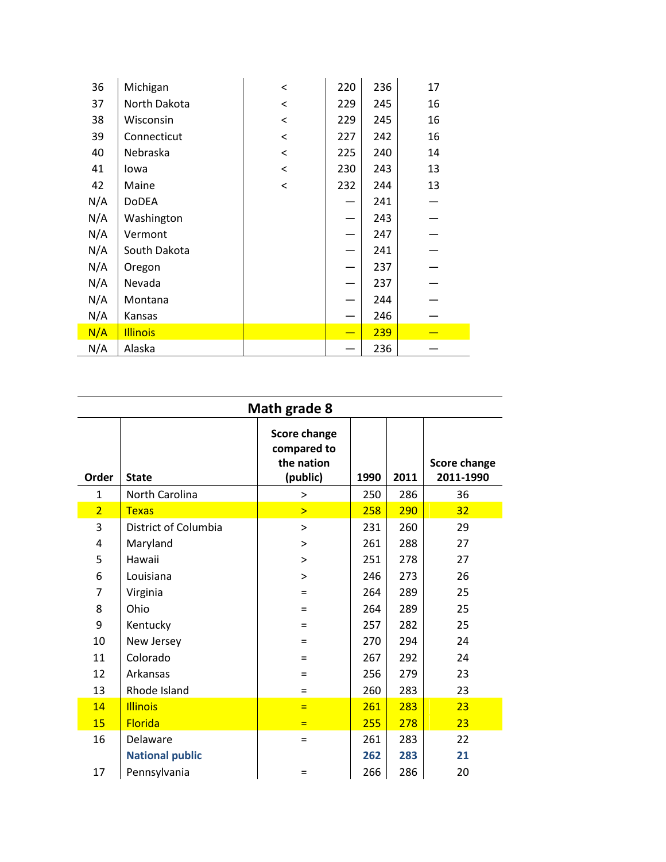| 36  | Michigan        | $\,<$   | 220 | 236 | 17 |  |
|-----|-----------------|---------|-----|-----|----|--|
| 37  | North Dakota    | $\,<$   | 229 | 245 | 16 |  |
| 38  | Wisconsin       | $\,<\,$ | 229 | 245 | 16 |  |
| 39  | Connecticut     | $\,<$   | 227 | 242 | 16 |  |
| 40  | Nebraska        | $\,<$   | 225 | 240 | 14 |  |
| 41  | lowa            | $\,<\,$ | 230 | 243 | 13 |  |
| 42  | Maine           | $\,<$   | 232 | 244 | 13 |  |
| N/A | <b>DoDEA</b>    |         |     | 241 |    |  |
| N/A | Washington      |         |     | 243 |    |  |
| N/A | Vermont         |         |     | 247 |    |  |
| N/A | South Dakota    |         |     | 241 |    |  |
| N/A | Oregon          |         |     | 237 |    |  |
| N/A | Nevada          |         |     | 237 |    |  |
| N/A | Montana         |         |     | 244 |    |  |
| N/A | Kansas          |         |     | 246 |    |  |
| N/A | <b>Illinois</b> |         |     | 239 |    |  |
| N/A | Alaska          |         |     | 236 |    |  |
|     |                 |         |     |     |    |  |

| <b>Score change</b><br>compared to<br>the nation<br>(public)<br>2011<br>Order<br>1990<br><b>State</b><br>North Carolina<br>286<br>$\mathbf{1}$<br>250<br>$\geq$<br>$\overline{2}$<br>290<br><b>Texas</b><br>258<br>$\geq$<br>3<br>District of Columbia<br>231<br>260<br>$\geq$<br>4<br>288<br>261<br>Maryland<br>><br>5<br>Hawaii<br>278<br>251<br>$\,>$ | Math grade 8              |  |  |  |  |  |  |  |  |  |  |  |
|----------------------------------------------------------------------------------------------------------------------------------------------------------------------------------------------------------------------------------------------------------------------------------------------------------------------------------------------------------|---------------------------|--|--|--|--|--|--|--|--|--|--|--|
|                                                                                                                                                                                                                                                                                                                                                          | Score change<br>2011-1990 |  |  |  |  |  |  |  |  |  |  |  |
|                                                                                                                                                                                                                                                                                                                                                          | 36                        |  |  |  |  |  |  |  |  |  |  |  |
|                                                                                                                                                                                                                                                                                                                                                          | 32                        |  |  |  |  |  |  |  |  |  |  |  |
|                                                                                                                                                                                                                                                                                                                                                          | 29                        |  |  |  |  |  |  |  |  |  |  |  |
|                                                                                                                                                                                                                                                                                                                                                          | 27                        |  |  |  |  |  |  |  |  |  |  |  |
|                                                                                                                                                                                                                                                                                                                                                          | 27                        |  |  |  |  |  |  |  |  |  |  |  |
| 6<br>Louisiana<br>246<br>273<br>$\geq$                                                                                                                                                                                                                                                                                                                   | 26                        |  |  |  |  |  |  |  |  |  |  |  |
| $\overline{7}$<br>289<br>Virginia<br>264<br>$=$                                                                                                                                                                                                                                                                                                          | 25                        |  |  |  |  |  |  |  |  |  |  |  |
| 8<br>Ohio<br>264<br>289<br>$=$                                                                                                                                                                                                                                                                                                                           | 25                        |  |  |  |  |  |  |  |  |  |  |  |
| 9<br>257<br>282<br>Kentucky<br>$=$                                                                                                                                                                                                                                                                                                                       | 25                        |  |  |  |  |  |  |  |  |  |  |  |
| 10<br>New Jersey<br>270<br>294<br>$=$                                                                                                                                                                                                                                                                                                                    | 24                        |  |  |  |  |  |  |  |  |  |  |  |
| Colorado<br>11<br>292<br>267<br>$=$                                                                                                                                                                                                                                                                                                                      | 24                        |  |  |  |  |  |  |  |  |  |  |  |
| 12<br>256<br>Arkansas<br>279<br>$=$                                                                                                                                                                                                                                                                                                                      | 23                        |  |  |  |  |  |  |  |  |  |  |  |
| 13<br>Rhode Island<br>260<br>283<br>$=$                                                                                                                                                                                                                                                                                                                  | 23                        |  |  |  |  |  |  |  |  |  |  |  |
| <b>Illinois</b><br>14<br>261<br>283<br>Ξ                                                                                                                                                                                                                                                                                                                 | 23                        |  |  |  |  |  |  |  |  |  |  |  |
| 15<br><b>Florida</b><br>278<br>255<br>Ξ                                                                                                                                                                                                                                                                                                                  | 23                        |  |  |  |  |  |  |  |  |  |  |  |
| 16<br>Delaware<br>261<br>283<br>$=$                                                                                                                                                                                                                                                                                                                      | 22                        |  |  |  |  |  |  |  |  |  |  |  |
| <b>National public</b><br>262<br>283                                                                                                                                                                                                                                                                                                                     | 21                        |  |  |  |  |  |  |  |  |  |  |  |
| Pennsylvania<br>17<br>266<br>286<br>$=$                                                                                                                                                                                                                                                                                                                  | 20                        |  |  |  |  |  |  |  |  |  |  |  |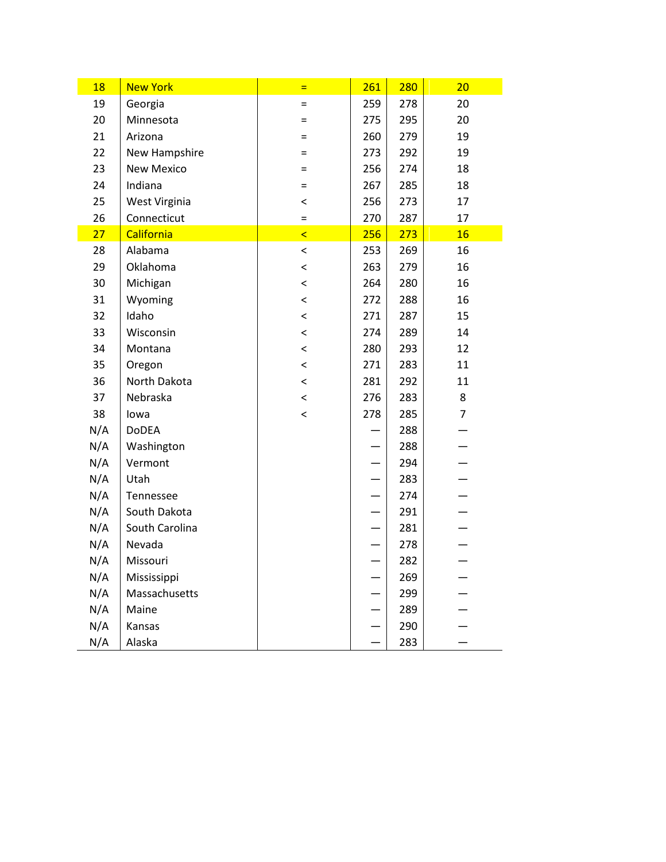| 18  | <b>New York</b>   | Ξ       | 261 | <b>280</b> | 20             |
|-----|-------------------|---------|-----|------------|----------------|
| 19  | Georgia           | $=$     | 259 | 278        | 20             |
| 20  | Minnesota         | $=$     | 275 | 295        | 20             |
| 21  | Arizona           | =       | 260 | 279        | 19             |
| 22  | New Hampshire     | $=$     | 273 | 292        | 19             |
| 23  | <b>New Mexico</b> | $=$     | 256 | 274        | 18             |
| 24  | Indiana           | $=$     | 267 | 285        | 18             |
| 25  | West Virginia     | $\,<\,$ | 256 | 273        | 17             |
| 26  | Connecticut       | $=$     | 270 | 287        | 17             |
| 27  | California        | $\prec$ | 256 | 273        | 16             |
| 28  | Alabama           | $\,<\,$ | 253 | 269        | 16             |
| 29  | Oklahoma          | $\,<\,$ | 263 | 279        | 16             |
| 30  | Michigan          | $\,<\,$ | 264 | 280        | 16             |
| 31  | Wyoming           | $\,<\,$ | 272 | 288        | 16             |
| 32  | Idaho             | $\,<\,$ | 271 | 287        | 15             |
| 33  | Wisconsin         | $\,<\,$ | 274 | 289        | 14             |
| 34  | Montana           | $\,<\,$ | 280 | 293        | 12             |
| 35  | Oregon            | $\,<\,$ | 271 | 283        | 11             |
| 36  | North Dakota      | $\,<\,$ | 281 | 292        | 11             |
| 37  | Nebraska          | $\,<\,$ | 276 | 283        | 8              |
| 38  | lowa              | $\,<\,$ | 278 | 285        | $\overline{7}$ |
| N/A | DoDEA             |         |     | 288        |                |
| N/A | Washington        |         |     | 288        |                |
| N/A | Vermont           |         |     | 294        |                |
| N/A | Utah              |         |     | 283        |                |
| N/A | Tennessee         |         |     | 274        |                |
| N/A | South Dakota      |         |     | 291        |                |
| N/A | South Carolina    |         |     | 281        |                |
| N/A | Nevada            |         |     | 278        |                |
| N/A | Missouri          |         |     | 282        |                |
| N/A | Mississippi       |         |     | 269        |                |
| N/A | Massachusetts     |         |     | 299        |                |
| N/A | Maine             |         |     | 289        |                |
| N/A | Kansas            |         |     | 290        |                |
| N/A | Alaska            |         |     | 283        |                |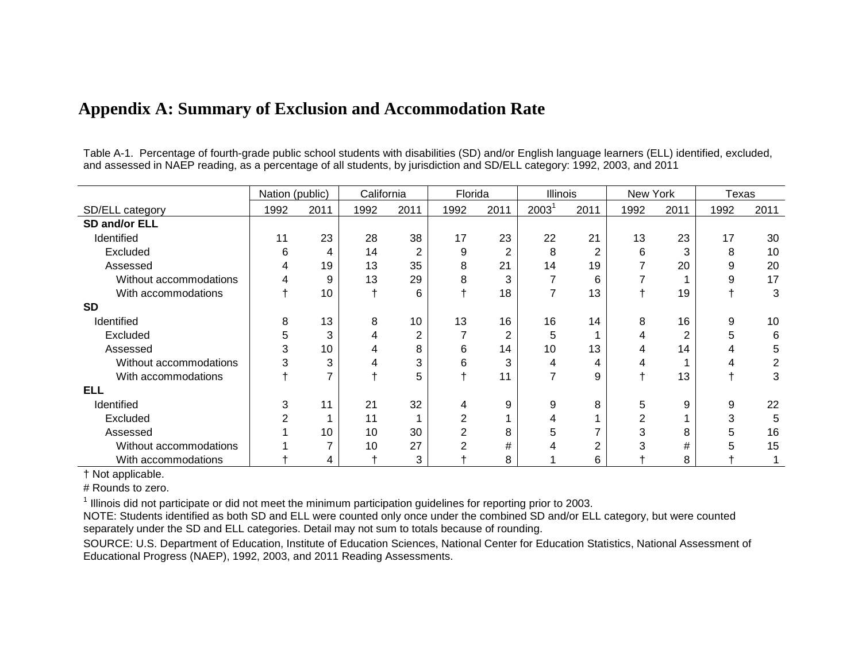|                        | Nation (public) |                |      | California |                | Florida        | <b>Illinois</b> |                | New York       |      | Texas |      |
|------------------------|-----------------|----------------|------|------------|----------------|----------------|-----------------|----------------|----------------|------|-------|------|
| SD/ELL category        | 1992            | 2011           | 1992 | 2011       | 1992           | 2011           | $2003^1$        | 2011           | 1992           | 2011 | 1992  | 2011 |
| SD and/or ELL          |                 |                |      |            |                |                |                 |                |                |      |       |      |
| Identified             | 11              | 23             | 28   | 38         | 17             | 23             | 22              | 21             | 13             | 23   | 17    | 30   |
| Excluded               | 6               | 4              | 14   | 2          | 9              | $\overline{2}$ | 8               | $\overline{2}$ | 6              | 3    | 8     | 10   |
| Assessed               | 4               | 19             | 13   | 35         | 8              | 21             | 14              | 19             |                | 20   | 9     | 20   |
| Without accommodations |                 | 9              | 13   | 29         | 8              | 3              |                 | 6              |                |      | 9     | 17   |
| With accommodations    |                 | 10             |      | 6          |                | 18             | 7               | 13             |                | 19   |       | 3    |
| <b>SD</b>              |                 |                |      |            |                |                |                 |                |                |      |       |      |
| Identified             | 8               | 13             | 8    | 10         | 13             | 16             | 16              | 14             | 8              | 16   | 9     | 10   |
| Excluded               | 5               | 3              | 4    | 2          | 7              | 2              | 5               |                | 4              | 2    | 5     | 6    |
| Assessed               | 3               | 10             |      | 8          | 6              | 14             | 10              | 13             |                | 14   |       | 5    |
| Without accommodations | 3               | 3              |      | 3          | 6              | 3              | 4               | 4              |                |      |       | 2    |
| With accommodations    |                 | $\overline{7}$ |      | 5          |                | 11             | 7               | 9              |                | 13   |       | 3    |
| <b>ELL</b>             |                 |                |      |            |                |                |                 |                |                |      |       |      |
| Identified             | 3               | 11             | 21   | 32         | 4              | 9              | 9               | 8              | 5              | 9    | 9     | 22   |
| Excluded               |                 |                | 11   |            | 2              |                |                 |                | $\overline{2}$ |      | 3     | 5    |
| Assessed               |                 | 10             | 10   | 30         | $\overline{2}$ | 8              | 5               |                | 3              | 8    | 5     | 16   |
| Without accommodations |                 | 7              | 10   | 27         | $\overline{2}$ | #              |                 | $\overline{2}$ | 3              | #    | 5     | 15   |
| With accommodations    |                 | 4              |      | 3          |                | 8              |                 | 6              |                | 8    |       |      |

## **Appendix A: Summary of Exclusion and Accommodation Rate**

Table A-1. Percentage of fourth-grade public school students with disabilities (SD) and/or English language learners (ELL) identified, excluded, and assessed in NAEP reading, as a percentage of all students, by jurisdiction and SD/ELL category: 1992, 2003, and 2011

† Not applicable.

# Rounds to zero.

 $1$  Illinois did not participate or did not meet the minimum participation guidelines for reporting prior to 2003.

NOTE: Students identified as both SD and ELL were counted only once under the combined SD and/or ELL category, but were counted separately under the SD and ELL categories. Detail may not sum to totals because of rounding.

SOURCE: U.S. Department of Education, Institute of Education Sciences, National Center for Education Statistics, National Assessment of Educational Progress (NAEP), 1992, 2003, and 2011 Reading Assessments.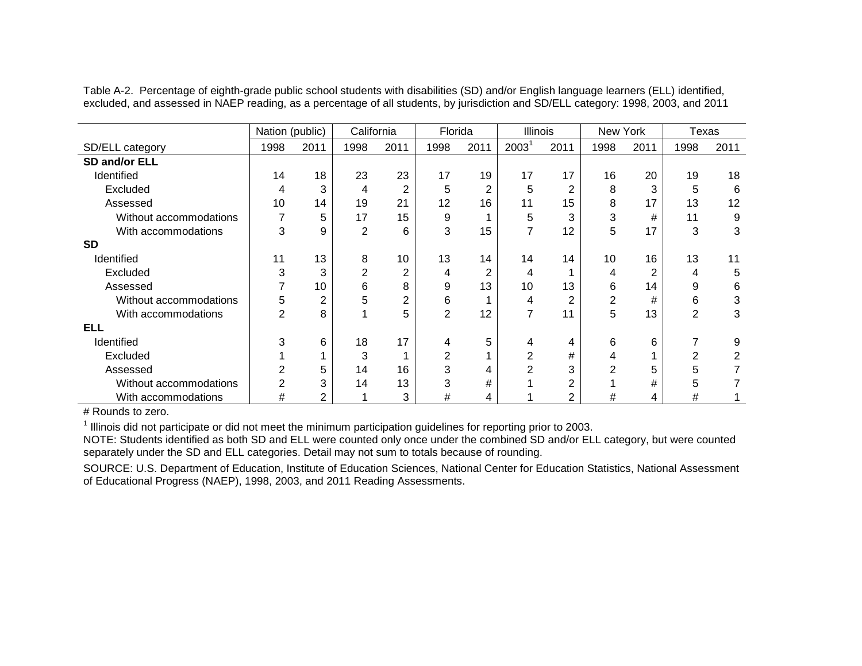|                        | Nation (public) |      |                | California     |                | Florida        |          | Illinois       |      | New York |                | Texas |
|------------------------|-----------------|------|----------------|----------------|----------------|----------------|----------|----------------|------|----------|----------------|-------|
| SD/ELL category        | 1998            | 2011 | 1998           | 2011           | 1998           | 2011           | $2003^1$ | 2011           | 1998 | 2011     | 1998           | 2011  |
| SD and/or ELL          |                 |      |                |                |                |                |          |                |      |          |                |       |
| Identified             | 14              | 18   | 23             | 23             | 17             | 19             | 17       | 17             | 16   | 20       | 19             | 18    |
| Excluded               | 4               | 3    | 4              | 2              | 5              | 2              | 5        | $\overline{2}$ | 8    | 3        | 5              | 6     |
| Assessed               | 10              | 14   | 19             | 21             | 12             | 16             | 11       | 15             | 8    | 17       | 13             | 12    |
| Without accommodations |                 | 5    | 17             | 15             | 9              |                | 5        | 3              | 3    | #        | 11             | 9     |
| With accommodations    | 3               | 9    | $\overline{2}$ | 6              | 3              | 15             | 7        | 12             | 5    | 17       | 3              | 3     |
| <b>SD</b>              |                 |      |                |                |                |                |          |                |      |          |                |       |
| Identified             | 11              | 13   | 8              | 10             | 13             | 14             | 14       | 14             | 10   | 16       | 13             | 11    |
| Excluded               | 3               | 3    | $\overline{2}$ | $\overline{2}$ | 4              | $\overline{2}$ | 4        |                | 4    | 2        | 4              | 5     |
| Assessed               |                 | 10   | 6              | 8              | 9              | 13             | 10       | 13             | 6    | 14       | 9              | 6     |
| Without accommodations | 5               | 2    | 5              | $\overline{2}$ | 6              |                | 4        | $\overline{2}$ | 2    | #        | 6              | 3     |
| With accommodations    | $\overline{2}$  | 8    |                | 5              | $\overline{2}$ | 12             | 7        | 11             | 5    | 13       | $\overline{2}$ | 3     |
| <b>ELL</b>             |                 |      |                |                |                |                |          |                |      |          |                |       |
| Identified             | 3               | 6    | 18             | 17             | 4              | 5              | 4        | 4              | 6    | 6        |                | 9     |
| Excluded               |                 |      | 3              |                | 2              |                | 2        | #              | 4    |          | 2              | 2     |
| Assessed               | 2               | 5    | 14             | 16             | 3              | 4              | 2        | 3              | 2    | 5        | 5              |       |
| Without accommodations | 2               | 3    | 14             | 13             | 3              | #              |          | $\overline{2}$ |      | #        | 5              |       |
| With accommodations    | #               | 2    |                | 3              | #              | 4              |          | 2              | #    | 4        | #              |       |

Table A-2. Percentage of eighth-grade public school students with disabilities (SD) and/or English language learners (ELL) identified, excluded, and assessed in NAEP reading, as a percentage of all students, by jurisdiction and SD/ELL category: 1998, 2003, and 2011

# Rounds to zero.

<sup>1</sup> Illinois did not participate or did not meet the minimum participation guidelines for reporting prior to 2003.

NOTE: Students identified as both SD and ELL were counted only once under the combined SD and/or ELL category, but were counted separately under the SD and ELL categories. Detail may not sum to totals because of rounding.

SOURCE: U.S. Department of Education, Institute of Education Sciences, National Center for Education Statistics, National Assessment of Educational Progress (NAEP), 1998, 2003, and 2011 Reading Assessments.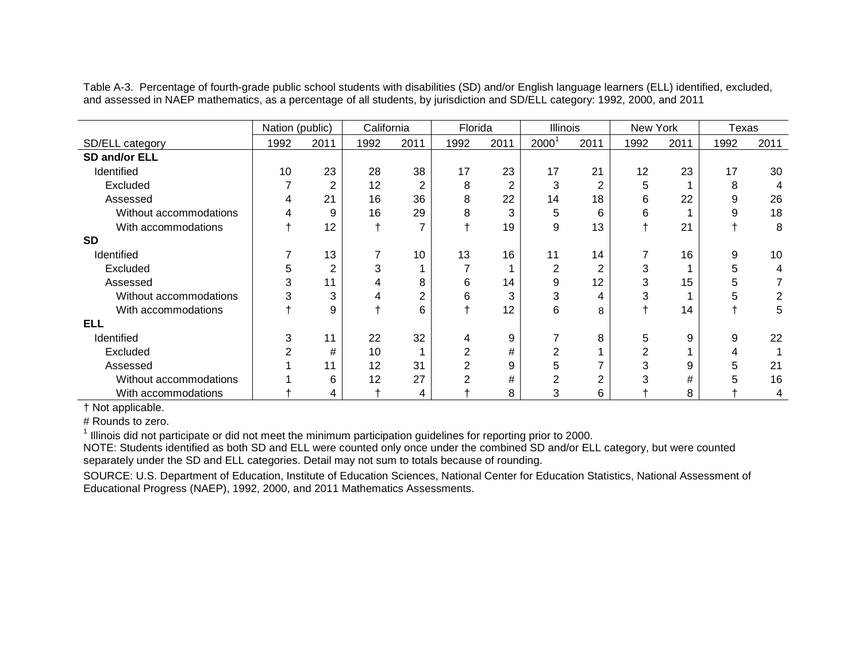Table A-3. Percentage of fourth-grade public school students with disabilities (SD) and/or English language learners (ELL) identified, excluded, and assessed in NAEP mathematics, as a percentage of all students, by jurisdiction and SD/ELL category: 1992, 2000, and 2011

|                        | Nation (public) |                | California |                | Florida |      | Illinois       |      | New York |      | Texas |      |
|------------------------|-----------------|----------------|------------|----------------|---------|------|----------------|------|----------|------|-------|------|
| SD/ELL category        | 1992            | 2011           | 1992       | 2011           | 1992    | 2011 | 2000           | 2011 | 1992     | 2011 | 1992  | 2011 |
| SD and/or ELL          |                 |                |            |                |         |      |                |      |          |      |       |      |
| Identified             | 10              | 23             | 28         | 38             | 17      | 23   | 17             | 21   | 12       | 23   | 17    | 30   |
| Excluded               |                 | $\overline{2}$ | 12         | $\overline{2}$ | 8       | 2    | 3              | 2    | 5        |      | 8     | 4    |
| Assessed               | 4               | 21             | 16         | 36             | 8       | 22   | 14             | 18   | 6        | 22   | 9     | 26   |
| Without accommodations | 4               | 9              | 16         | 29             | 8       | 3    | 5              | 6    | 6        |      | 9     | 18   |
| With accommodations    |                 | 12             |            | ⇁              |         | 19   | 9              | 13   |          | 21   |       | 8    |
| <b>SD</b>              |                 |                |            |                |         |      |                |      |          |      |       |      |
| Identified             |                 | 13             |            | 10             | 13      | 16   | 11             | 14   |          | 16   | 9     | 10   |
| Excluded               | 5               | $\overline{2}$ | 3          |                |         |      | 2              | 2    | 3        |      | 5     | 4    |
| Assessed               | 3               | 11             |            | 8              | 6       | 14   | 9              | 12   | 3        | 15   | 5     |      |
| Without accommodations | 3               | 3              | 4          | 2              | 6       | 3    | 3              | 4    | 3        |      | 5     |      |
| With accommodations    |                 | 9              |            | 6              |         | 12   | 6              | 8    |          | 14   |       | 5    |
| <b>ELL</b>             |                 |                |            |                |         |      |                |      |          |      |       |      |
| Identified             | 3               | 11             | 22         | 32             | 4       | 9    |                | 8    | 5        | 9    | 9     | 22   |
| Excluded               | $\overline{2}$  | #              | 10         |                | 2       | #    | 2              |      | 2        |      | 4     |      |
| Assessed               |                 | 11             | 12         | 31             | 2       | 9    | h              |      | 3        | 9    | 5     | 21   |
| Without accommodations |                 | 6              | 12         | 27             | 2       | #    | $\overline{2}$ | 2    | 3        | #    | 5     | 16   |
| With accommodations    |                 | 4              |            | 4              |         | 8    | 3              | 6    |          | 8    |       | 4    |

† Not applicable.

# Rounds to zero.

 $1$  Illinois did not participate or did not meet the minimum participation guidelines for reporting prior to 2000.

NOTE: Students identified as both SD and ELL were counted only once under the combined SD and/or ELL category, but were counted separately under the SD and ELL categories. Detail may not sum to totals because of rounding.

SOURCE: U.S. Department of Education, Institute of Education Sciences, National Center for Education Statistics, National Assessment of Educational Progress (NAEP), 1992, 2000, and 2011 Mathematics Assessments.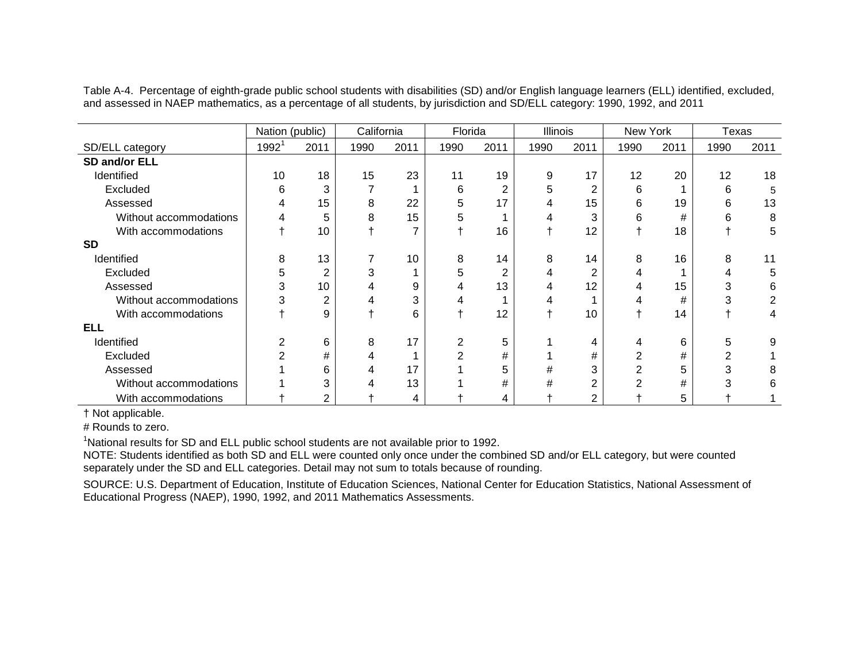Table A-4. Percentage of eighth-grade public school students with disabilities (SD) and/or English language learners (ELL) identified, excluded, and assessed in NAEP mathematics, as a percentage of all students, by jurisdiction and SD/ELL category: 1990, 1992, and 2011

|                        | Nation (public) |                | California |      | Florida        |                | Illinois |                | New York |      | Texas |      |
|------------------------|-----------------|----------------|------------|------|----------------|----------------|----------|----------------|----------|------|-------|------|
| SD/ELL category        | $1992^1$        | 2011           | 1990       | 2011 | 1990           | 2011           | 1990     | 2011           | 1990     | 2011 | 1990  | 2011 |
| SD and/or ELL          |                 |                |            |      |                |                |          |                |          |      |       |      |
| Identified             | 10              | 18             | 15         | 23   | 11             | 19             | 9        | 17             | 12       | 20   | 12    | 18   |
| Excluded               | 6               | 3              |            |      | 6              | $\overline{2}$ | 5        | 2              | 6        |      | 6     | 5    |
| Assessed               | 4               | 15             | 8          | 22   | 5              | 17             | 4        | 15             | 6        | 19   | 6     | 13   |
| Without accommodations |                 | 5              | 8          | 15   | 5              |                | 4        | 3              | 6        | #    | 6     | 8    |
| With accommodations    |                 | 10             |            | 7    |                | 16             |          | 12             |          | 18   |       | 5    |
| <b>SD</b>              |                 |                |            |      |                |                |          |                |          |      |       |      |
| Identified             | 8               | 13             |            | 10   | 8              | 14             | 8        | 14             | 8        | 16   | 8     | 11   |
| Excluded               | 5               | 2              | 3          |      | 5              | $\overline{2}$ | 4        | 2              |          |      | 4     | 5    |
| Assessed               | 3               | 10             |            | 9    | 4              | 13             | 4        | 12             |          | 15   | 3     | 6    |
| Without accommodations | 3               | 2              | 4          | 3    | 4              |                | 4        |                |          | #    |       |      |
| With accommodations    |                 | 9              |            | 6    |                | 12             |          | 10             |          | 14   |       | 4    |
| ELL                    |                 |                |            |      |                |                |          |                |          |      |       |      |
| Identified             |                 | 6              | 8          | 17   | 2              | 5              |          | 4              | 4        | 6    | 5     | 9    |
| Excluded               |                 | #              |            |      | $\overline{2}$ | #              |          | #              |          | #    | 2     |      |
| Assessed               |                 | 6              |            | 17   |                | 5              | #        | 3              |          | 5    |       |      |
| Without accommodations |                 | 3              |            | 13   |                | #              | #        | $\overline{2}$ |          | #    |       | 6    |
| With accommodations    |                 | $\overline{2}$ |            | 4    |                | 4              |          | $\overline{2}$ |          | 5    |       |      |

† Not applicable.

# Rounds to zero.

<sup>1</sup>National results for SD and ELL public school students are not available prior to 1992.

NOTE: Students identified as both SD and ELL were counted only once under the combined SD and/or ELL category, but were counted separately under the SD and ELL categories. Detail may not sum to totals because of rounding.

SOURCE: U.S. Department of Education, Institute of Education Sciences, National Center for Education Statistics, National Assessment of Educational Progress (NAEP), 1990, 1992, and 2011 Mathematics Assessments.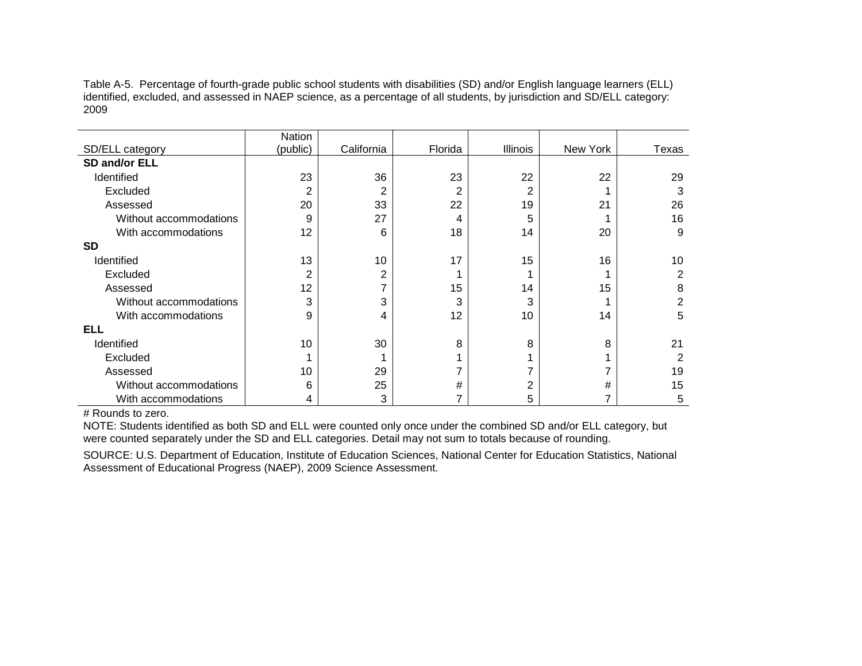Table A-5. Percentage of fourth-grade public school students with disabilities (SD) and/or English language learners (ELL) identified, excluded, and assessed in NAEP science, as a percentage of all students, by jurisdiction and SD/ELL category: 2009

|                        | Nation         |            |         |                 |          |       |
|------------------------|----------------|------------|---------|-----------------|----------|-------|
| SD/ELL category        | (public)       | California | Florida | <b>Illinois</b> | New York | Texas |
| SD and/or ELL          |                |            |         |                 |          |       |
| Identified             | 23             | 36         | 23      | 22              | 22       | 29    |
| Excluded               | 2              | 2          | 2       | 2               |          | 3     |
| Assessed               | 20             | 33         | 22      | 19              | 21       | 26    |
| Without accommodations | 9              | 27         | 4       | 5               |          | 16    |
| With accommodations    | 12             | 6          | 18      | 14              | 20       | 9     |
| <b>SD</b>              |                |            |         |                 |          |       |
| Identified             | 13             | 10         | 17      | 15              | 16       | 10    |
| Excluded               | $\overline{2}$ | 2          |         |                 |          | 2     |
| Assessed               | 12             | ⇁          | 15      | 14              | 15       | 8     |
| Without accommodations | 3              | 3          | 3       | 3               |          | 2     |
| With accommodations    | 9              | 4          | 12      | 10              | 14       | 5     |
| <b>ELL</b>             |                |            |         |                 |          |       |
| Identified             | 10             | 30         | 8       | 8               | 8        | 21    |
| Excluded               | $\mathbf 1$    |            |         |                 |          | 2     |
| Assessed               | 10             | 29         |         |                 | 7        | 19    |
| Without accommodations | 6              | 25         | #       | 2               | #        | 15    |
| With accommodations    | 4              | 3          |         | 5               | 7        | 5     |

# Rounds to zero.

NOTE: Students identified as both SD and ELL were counted only once under the combined SD and/or ELL category, but were counted separately under the SD and ELL categories. Detail may not sum to totals because of rounding.

SOURCE: U.S. Department of Education, Institute of Education Sciences, National Center for Education Statistics, National Assessment of Educational Progress (NAEP), 2009 Science Assessment.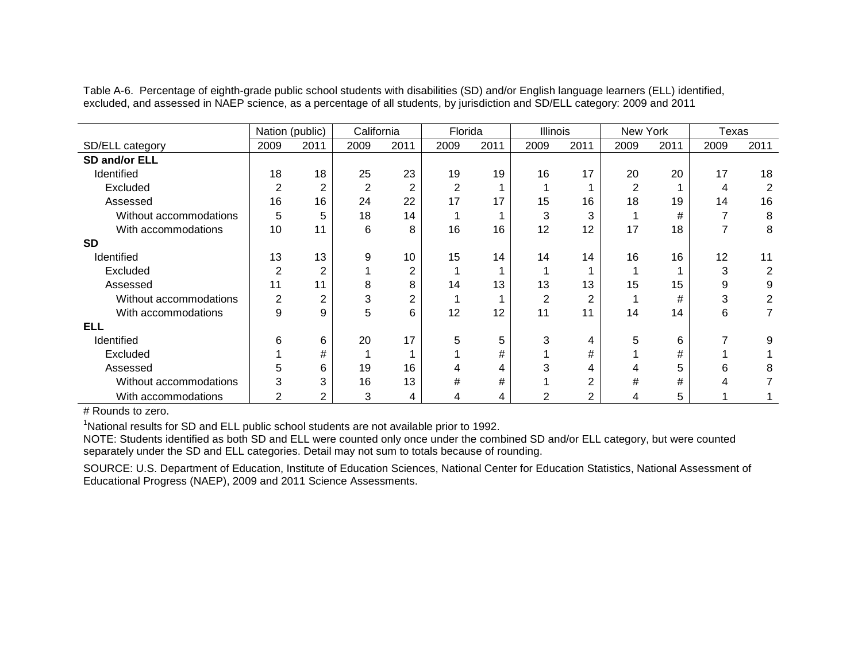Table A-6. Percentage of eighth-grade public school students with disabilities (SD) and/or English language learners (ELL) identified, excluded, and assessed in NAEP science, as a percentage of all students, by jurisdiction and SD/ELL category: 2009 and 2011

|                        | Nation (public) |                | California |                | Florida        |      | Illinois       |                | New York       |      | Texas |      |
|------------------------|-----------------|----------------|------------|----------------|----------------|------|----------------|----------------|----------------|------|-------|------|
| SD/ELL category        | 2009            | 2011           | 2009       | 2011           | 2009           | 2011 | 2009           | 2011           | 2009           | 2011 | 2009  | 2011 |
| SD and/or ELL          |                 |                |            |                |                |      |                |                |                |      |       |      |
| Identified             | 18              | 18             | 25         | 23             | 19             | 19   | 16             | 17             | 20             | 20   | 17    | 18   |
| Excluded               | 2               | $\overline{2}$ | 2          | $\overline{2}$ | $\overline{2}$ |      |                |                | $\overline{2}$ |      | 4     | 2    |
| Assessed               | 16              | 16             | 24         | 22             | 17             | 17   | 15             | 16             | 18             | 19   | 14    | 16   |
| Without accommodations | 5               | 5              | 18         | 14             |                |      | 3              | 3              |                | #    |       | 8    |
| With accommodations    | 10              | 11             | 6          | 8              | 16             | 16   | 12             | 12             | 17             | 18   |       | 8    |
| <b>SD</b>              |                 |                |            |                |                |      |                |                |                |      |       |      |
| Identified             | 13              | 13             | 9          | 10             | 15             | 14   | 14             | 14             | 16             | 16   | 12    | 11   |
| Excluded               | 2               | $\overline{2}$ |            | $\overline{2}$ |                |      |                |                |                |      | 3     | 2    |
| Assessed               | 11              | 11             | 8          | 8              | 14             | 13   | 13             | 13             | 15             | 15   | 9     | 9    |
| Without accommodations | 2               | $\overline{2}$ | 3          | $\overline{2}$ |                |      | $\overline{2}$ | $\overline{2}$ |                | #    | 3     | 2    |
| With accommodations    | 9               | 9              | 5          | 6              | 12             | 12   | 11             | 11             | 14             | 14   | 6     |      |
| ELL                    |                 |                |            |                |                |      |                |                |                |      |       |      |
| Identified             | 6               | 6              | 20         | 17             | 5              | 5    | 3              | 4              | 5              | 6    |       | 9    |
| Excluded               |                 | #              |            |                |                | #    |                | #              |                | #    |       |      |
| Assessed               | 5               | 6              | 19         | 16             | 4              | 4    | 3              | 4              | 4              | 5    | 6     | 8    |
| Without accommodations | 3               | 3              | 16         | 13             | $\#$           | #    |                | $\overline{2}$ | #              | #    | 4     |      |
| With accommodations    | $\overline{2}$  | $\overline{2}$ | 3          | 4              | 4              | 4    | $\mathfrak{p}$ | $\overline{2}$ | 4              | 5    |       |      |

# Rounds to zero.

<sup>1</sup>National results for SD and ELL public school students are not available prior to 1992.

NOTE: Students identified as both SD and ELL were counted only once under the combined SD and/or ELL category, but were counted separately under the SD and ELL categories. Detail may not sum to totals because of rounding.

SOURCE: U.S. Department of Education, Institute of Education Sciences, National Center for Education Statistics, National Assessment of Educational Progress (NAEP), 2009 and 2011 Science Assessments.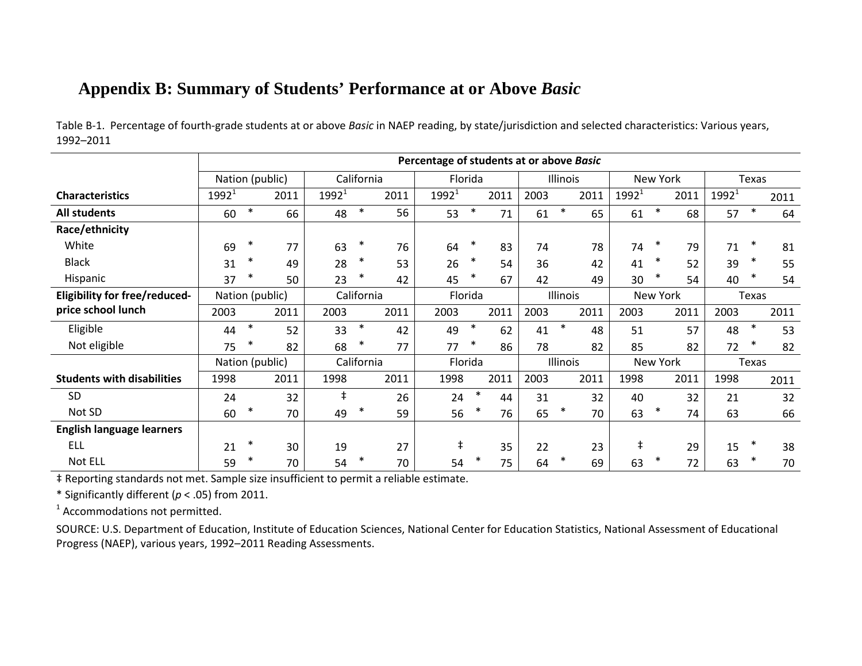## **Appendix B: Summary of Students' Performance at or Above** *Basic*

|                                      | Percentage of students at or above Basic |                 |            |            |      |            |         |      |      |              |            |          |      |          |        |      |
|--------------------------------------|------------------------------------------|-----------------|------------|------------|------|------------|---------|------|------|--------------|------------|----------|------|----------|--------|------|
|                                      |                                          | Nation (public) |            | California |      |            | Florida |      |      | Illinois     |            | New York |      |          | Texas  |      |
| <b>Characteristics</b>               | $1992^1$                                 | 2011            | $1992^{1}$ |            | 2011 | $1992^1$   |         | 2011 | 2003 | 2011         | $1992^1$   |          | 2011 | $1992^1$ |        | 2011 |
| <b>All students</b>                  | 60                                       | $\ast$<br>66    | 48         | $\ast$     | 56   | 53         | $\ast$  | 71   | 61   | $\ast$<br>65 | 61         | $\ast$   | 68   | 57       | $\ast$ | 64   |
| Race/ethnicity                       |                                          |                 |            |            |      |            |         |      |      |              |            |          |      |          |        |      |
| White                                | 69                                       | $\ast$<br>77    | 63         | $\ast$     | 76   | 64         | ∗       | 83   | 74   | 78           | 74         | $\ast$   | 79   | 71       | $\ast$ | 81   |
| <b>Black</b>                         | 31                                       | 49              | 28         | $\ast$     | 53   | 26         | $\ast$  | 54   | 36   | 42           | 41         | $\ast$   | 52   | 39       | $\ast$ | 55   |
| Hispanic                             | 37                                       | 50              | 23         | $\ast$     | 42   | 45         | $\ast$  | 67   | 42   | 49           | 30         | $\ast$   | 54   | 40       |        | 54   |
| <b>Eligibility for free/reduced-</b> |                                          | Nation (public) |            | California |      |            | Florida |      |      | Illinois     |            | New York |      |          | Texas  |      |
| price school lunch                   | 2003                                     | 2011            | 2003       |            | 2011 | 2003       |         | 2011 | 2003 | 2011         | 2003       |          | 2011 | 2003     |        | 2011 |
| Eligible                             | 44                                       | $\ast$<br>52    | 33         | $\ast$     | 42   | 49         | $\ast$  | 62   | 41   | $\ast$<br>48 | 51         |          | 57   | 48       | $\ast$ | 53   |
| Not eligible                         | 75                                       | 82              | 68         | $\ast$     | 77   | 77         | ∗       | 86   | 78   | 82           | 85         |          | 82   | 72       |        | 82   |
|                                      |                                          | Nation (public) |            | California |      |            | Florida |      |      | Illinois     |            | New York |      |          | Texas  |      |
| <b>Students with disabilities</b>    | 1998                                     | 2011            | 1998       |            | 2011 | 1998       |         | 2011 | 2003 | 2011         | 1998       |          | 2011 | 1998     |        | 2011 |
| <b>SD</b>                            | 24                                       | 32              | $\ddagger$ |            | 26   | 24         | $\ast$  | 44   | 31   | 32           | 40         |          | 32   | 21       |        | 32   |
| Not SD                               | 60                                       | 70              | 49         | ∗          | 59   | 56         | $\ast$  | 76   | 65   | $\ast$<br>70 | 63         | $\ast$   | 74   | 63       |        | 66   |
| <b>English language learners</b>     |                                          |                 |            |            |      |            |         |      |      |              |            |          |      |          |        |      |
| <b>ELL</b>                           | 21                                       | $\ast$<br>30    | 19         |            | 27   | $\ddagger$ |         | 35   | 22   | 23           | $\ddagger$ |          | 29   | 15       | $\ast$ | 38   |
| Not ELL                              | 59                                       | 70              | 54         | $\ast$     | 70   | 54         | $\ast$  | 75   | 64   | *<br>69      | 63         | $\ast$   | 72   | 63       |        | 70   |

Table B-1. Percentage of fourth-grade students at or above *Basic* in NAEP reading, by state/jurisdiction and selected characteristics: Various years, 1992–2011

‡ Reporting standards not met. Sample size insufficient to permit a reliable estimate.

\* Significantly different (*p* < .05) from 2011.

<sup>1</sup> Accommodations not permitted.

SOURCE: U.S. Department of Education, Institute of Education Sciences, National Center for Education Statistics, National Assessment of Educational Progress (NAEP), various years, 1992–2011 Reading Assessments.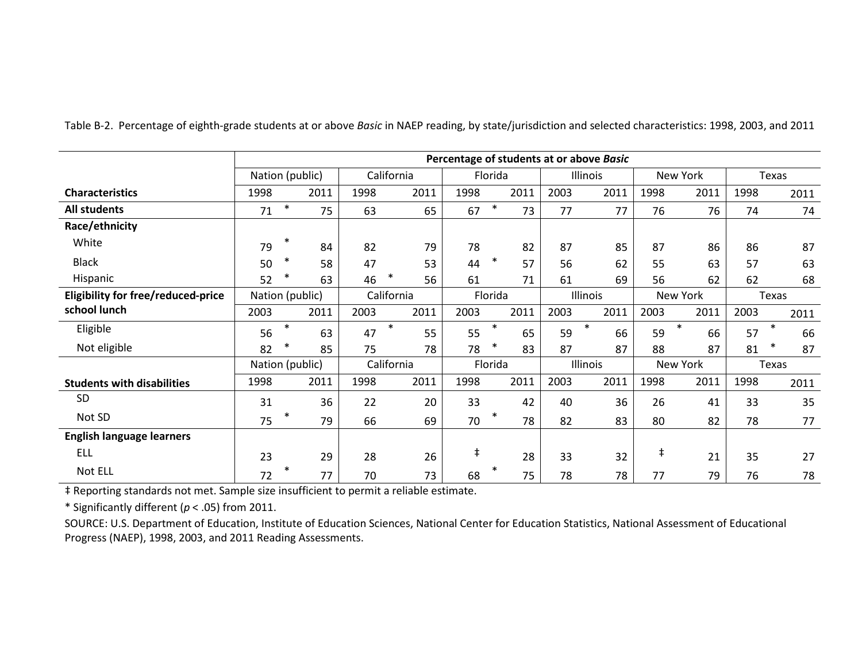|                                           |                 |        |      |      |              |            |         |      |      | Percentage of students at or above Basic |      |              |      |              |
|-------------------------------------------|-----------------|--------|------|------|--------------|------------|---------|------|------|------------------------------------------|------|--------------|------|--------------|
|                                           | Nation (public) |        |      |      | California   |            | Florida |      |      | Illinois                                 |      | New York     |      | <b>Texas</b> |
| <b>Characteristics</b>                    | 1998            |        | 2011 | 1998 | 2011         | 1998       |         | 2011 | 2003 | 2011                                     | 1998 | 2011         | 1998 | 2011         |
| All students                              | 71              | $\ast$ | 75   | 63   | 65           | 67         | $\ast$  | 73   | 77   | 77                                       | 76   | 76           | 74   | 74           |
| Race/ethnicity                            |                 |        |      |      |              |            |         |      |      |                                          |      |              |      |              |
| White                                     | 79              | $\ast$ | 84   | 82   | 79           | 78         |         | 82   | 87   | 85                                       | 87   | 86           | 86   | 87           |
| <b>Black</b>                              | 50              | $\ast$ | 58   | 47   | 53           | 44         | $\ast$  | 57   | 56   | 62                                       | 55   | 63           | 57   | 63           |
| Hispanic                                  | 52              |        | 63   | 46   | $\ast$<br>56 | 61         |         | 71   | 61   | 69                                       | 56   | 62           | 62   | 68           |
| <b>Eligibility for free/reduced-price</b> | Nation (public) |        |      |      | California   |            | Florida |      |      | Illinois                                 |      | New York     |      | <b>Texas</b> |
| school lunch                              | 2003            |        | 2011 | 2003 | 2011         | 2003       |         | 2011 | 2003 | 2011                                     | 2003 | 2011         | 2003 | 2011         |
| Eligible                                  | 56              | $\ast$ | 63   | 47   | $\ast$<br>55 | 55         | $\ast$  | 65   | 59   | $\ast$<br>66                             | 59   | $\ast$<br>66 | 57   | $\ast$<br>66 |
| Not eligible                              | 82              | $\ast$ | 85   | 75   | 78           | 78         | $\ast$  | 83   | 87   | 87                                       | 88   | 87           | 81   | $\ast$<br>87 |
|                                           | Nation (public) |        |      |      | California   |            | Florida |      |      | Illinois                                 |      | New York     |      | <b>Texas</b> |
| <b>Students with disabilities</b>         | 1998            |        | 2011 | 1998 | 2011         | 1998       |         | 2011 | 2003 | 2011                                     | 1998 | 2011         | 1998 | 2011         |
| <b>SD</b>                                 | 31              |        | 36   | 22   | 20           | 33         |         | 42   | 40   | 36                                       | 26   | 41           | 33   | 35           |
| Not SD                                    | 75              |        | 79   | 66   | 69           | 70         | $\ast$  | 78   | 82   | 83                                       | 80   | 82           | 78   | 77           |
| <b>English language learners</b>          |                 |        |      |      |              |            |         |      |      |                                          |      |              |      |              |
| <b>ELL</b>                                | 23              |        | 29   | 28   | 26           | $\ddagger$ |         | 28   | 33   | 32                                       | ŧ    | 21           | 35   | 27           |
| Not ELL                                   | 72              |        | 77   | 70   | 73           | 68         | $\ast$  | 75   | 78   | 78                                       | 77   | 79           | 76   | 78           |

Table B-2. Percentage of eighth-grade students at or above *Basic* in NAEP reading, by state/jurisdiction and selected characteristics: 1998, 2003, and 2011

‡ Reporting standards not met. Sample size insufficient to permit a reliable estimate.

\* Significantly different (*p* < .05) from 2011.

SOURCE: U.S. Department of Education, Institute of Education Sciences, National Center for Education Statistics, National Assessment of Educational Progress (NAEP), 1998, 2003, and 2011 Reading Assessments.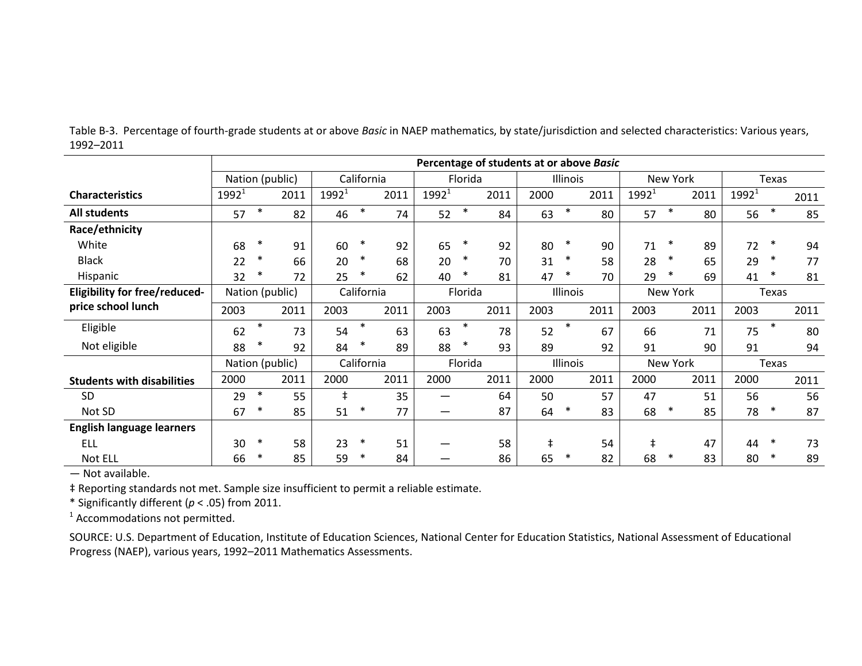|                                      | Percentage of students at or above Basic |        |      |            |            |      |                          |         |      |            |          |      |          |                 |      |          |              |      |
|--------------------------------------|------------------------------------------|--------|------|------------|------------|------|--------------------------|---------|------|------------|----------|------|----------|-----------------|------|----------|--------------|------|
|                                      | Nation (public)                          |        |      |            | California |      |                          | Florida |      |            | Illinois |      |          | New York        |      |          | <b>Texas</b> |      |
| <b>Characteristics</b>               | $1992^1$                                 |        | 2011 | $1992^1$   |            | 2011 | $1992^1$                 |         | 2011 | 2000       |          | 2011 | $1992^1$ |                 | 2011 | $1992^1$ |              | 2011 |
| <b>All students</b>                  | 57                                       | $\ast$ | 82   | 46         | $\ast$     | 74   | 52                       | $\ast$  | 84   | 63         | $\ast$   | 80   | 57       | ∗               | 80   | 56       | $\ast$       | 85   |
| Race/ethnicity                       |                                          |        |      |            |            |      |                          |         |      |            |          |      |          |                 |      |          |              |      |
| White                                | 68                                       | $\ast$ | 91   | 60         | $\ast$     | 92   | 65                       | $\ast$  | 92   | 80         | $\ast$   | 90   | 71       | $\ast$          | 89   | 72       | ∗            | 94   |
| <b>Black</b>                         | 22                                       | $\ast$ | 66   | 20         | $\ast$     | 68   | 20                       | $\ast$  | 70   | 31         | $\ast$   | 58   | 28       | $\ast$          | 65   | 29       | $\ast$       | 77   |
| Hispanic                             | 32                                       | $\ast$ | 72   | 25         | $\ast$     | 62   | 40                       | $\ast$  | 81   | 47         | $\ast$   | 70   | 29       | ∗               | 69   | 41       | ∗            | 81   |
| <b>Eligibility for free/reduced-</b> | Nation (public)                          |        |      |            | California |      |                          | Florida |      |            | Illinois |      |          | <b>New York</b> |      |          | Texas        |      |
| price school lunch                   | 2003                                     |        | 2011 | 2003       |            | 2011 | 2003                     |         | 2011 | 2003       |          | 2011 | 2003     |                 | 2011 | 2003     |              | 2011 |
| Eligible                             | 62                                       | $\ast$ | 73   | 54         | $\ast$     | 63   | 63                       | $\ast$  | 78   | 52         | $\ast$   | 67   | 66       |                 | 71   | 75       | $\ast$       | 80   |
| Not eligible                         | 88                                       | $\ast$ | 92   | 84         | $\ast$     | 89   | 88                       | $\ast$  | 93   | 89         |          | 92   | 91       |                 | 90   | 91       |              | 94   |
|                                      | Nation (public)                          |        |      |            | California |      |                          | Florida |      |            | Illinois |      |          | New York        |      |          | <b>Texas</b> |      |
| <b>Students with disabilities</b>    | 2000                                     |        | 2011 | 2000       |            | 2011 | 2000                     |         | 2011 | 2000       |          | 2011 | 2000     |                 | 2011 | 2000     |              | 2011 |
| <b>SD</b>                            | 29                                       | $\ast$ | 55   | $\ddagger$ |            | 35   | $\overline{\phantom{0}}$ |         | 64   | 50         |          | 57   | 47       |                 | 51   | 56       |              | 56   |
| Not SD                               | 67                                       | $\ast$ | 85   | 51         |            | 77   |                          |         | 87   | 64         | ∗        | 83   | 68       | ∗               | 85   | 78       | ∗            | 87   |
| <b>English language learners</b>     |                                          |        |      |            |            |      |                          |         |      |            |          |      |          |                 |      |          |              |      |
| ELL                                  | 30                                       | $\ast$ | 58   | 23         | $\ast$     | 51   |                          |         | 58   | $\ddagger$ |          | 54   | $\pm$    |                 | 47   | 44       | ∗            | 73   |
| Not ELL                              | 66                                       | $\ast$ | 85   | 59         | ∗          | 84   |                          |         | 86   | 65         | $\ast$   | 82   | 68       | ∗               | 83   | 80       | ∗            | 89   |

Table B-3. Percentage of fourth-grade students at or above *Basic* in NAEP mathematics, by state/jurisdiction and selected characteristics: Various years, 1992–2011

— Not available.

‡ Reporting standards not met. Sample size insufficient to permit a reliable estimate.

\* Significantly different (*p* < .05) from 2011.

<sup>1</sup> Accommodations not permitted.

SOURCE: U.S. Department of Education, Institute of Education Sciences, National Center for Education Statistics, National Assessment of Educational Progress (NAEP), various years, 1992–2011 Mathematics Assessments.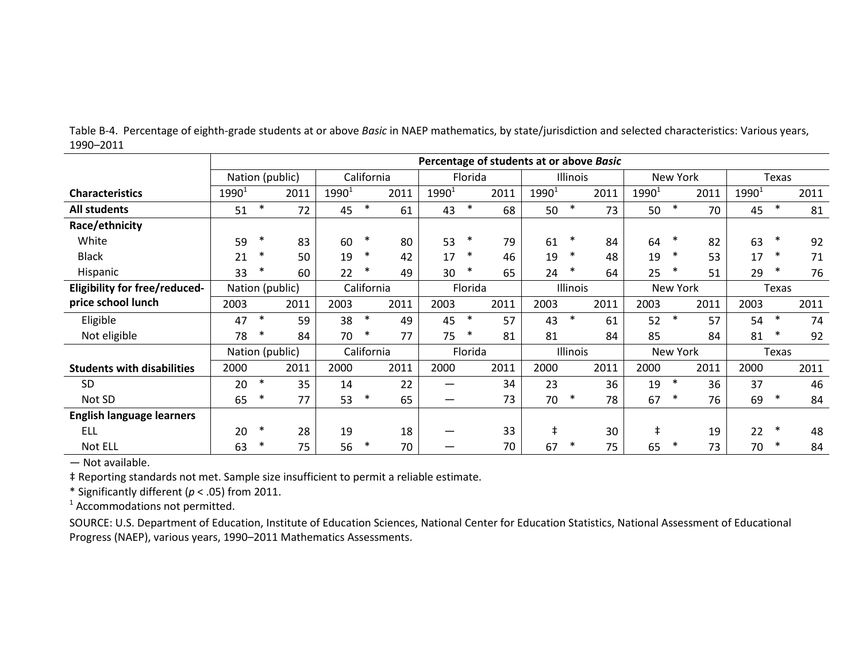|                                      |                 |        |      |          |            |      |          |         |      | Percentage of students at or above Basic |                 |      |          |                 |      |          |        |      |
|--------------------------------------|-----------------|--------|------|----------|------------|------|----------|---------|------|------------------------------------------|-----------------|------|----------|-----------------|------|----------|--------|------|
|                                      | Nation (public) |        |      |          | California |      |          | Florida |      |                                          | <b>Illinois</b> |      |          | <b>New York</b> |      |          | Texas  |      |
| <b>Characteristics</b>               | $1990^1$        |        | 2011 | $1990^1$ |            | 2011 | $1990^1$ |         | 2011 | $1990^1$                                 |                 | 2011 | $1990^1$ |                 | 2011 | $1990^1$ |        | 2011 |
| <b>All students</b>                  | 51              | $\ast$ | 72   | 45       | $\ast$     | 61   | 43       | $\ast$  | 68   | 50                                       | $\ast$          | 73   | 50       | $\ast$          | 70   | 45       | $\ast$ | 81   |
| Race/ethnicity                       |                 |        |      |          |            |      |          |         |      |                                          |                 |      |          |                 |      |          |        |      |
| White                                | 59              | $\ast$ | 83   | 60       | $\ast$     | 80   | 53       | $\ast$  | 79   | 61                                       | $\ast$          | 84   | 64       | ∗               | 82   | 63       | $\ast$ | 92   |
| <b>Black</b>                         | 21              | ∗      | 50   | 19       | ∗          | 42   | 17       | *       | 46   | 19                                       | ∗               | 48   | 19       | ∗               | 53   | 17       | $\ast$ | 71   |
| Hispanic                             | 33              | $\ast$ | 60   | 22       | ∗          | 49   | 30       | $\ast$  | 65   | 24                                       | ∗               | 64   | 25       | ∗               | 51   | 29       | $\ast$ | 76   |
| <b>Eligibility for free/reduced-</b> | Nation (public) |        |      |          | California |      |          | Florida |      |                                          | Illinois        |      |          | New York        |      |          | Texas  |      |
| price school lunch                   | 2003            |        | 2011 | 2003     |            | 2011 | 2003     |         | 2011 | 2003                                     |                 | 2011 | 2003     |                 | 2011 | 2003     |        | 2011 |
| Eligible                             | 47              | $\ast$ | 59   | 38       | $\ast$     | 49   | 45       | $\ast$  | 57   | 43                                       | $\ast$          | 61   | 52       | $\ast$          | 57   | 54       | $\ast$ | 74   |
| Not eligible                         | 78              | $\ast$ | 84   | 70       | $\ast$     | 77   | 75       | $\ast$  | 81   | 81                                       |                 | 84   | 85       |                 | 84   | 81       | $\ast$ | 92   |
|                                      | Nation (public) |        |      |          | California |      |          | Florida |      |                                          | Illinois        |      |          | New York        |      |          | Texas  |      |
| <b>Students with disabilities</b>    | 2000            |        | 2011 | 2000     |            | 2011 | 2000     |         | 2011 | 2000                                     |                 | 2011 | 2000     |                 | 2011 | 2000     |        | 2011 |
| <b>SD</b>                            | 20              | $\ast$ | 35   | 14       |            | 22   |          |         | 34   | 23                                       |                 | 36   | 19       | $\ast$          | 36   | 37       |        | 46   |
| Not SD                               | 65              | $\ast$ | 77   | 53       | $\ast$     | 65   |          |         | 73   | 70                                       | $\ast$          | 78   | 67       | $\ast$          | 76   | 69       | $\ast$ | 84   |
| <b>English language learners</b>     |                 |        |      |          |            |      |          |         |      |                                          |                 |      |          |                 |      |          |        |      |
| ELL                                  | 20              | $\ast$ | 28   | 19       |            | 18   |          |         | 33   | $\ddagger$                               |                 | 30   | ŧ        |                 | 19   | 22       | $\ast$ | 48   |
| Not ELL                              | 63              | $\ast$ | 75   | 56       | ∗          | 70   |          |         | 70   | 67                                       | ∗               | 75   | 65       | ∗               | 73   | 70       | $\ast$ | 84   |

Table B-4. Percentage of eighth-grade students at or above *Basic* in NAEP mathematics, by state/jurisdiction and selected characteristics: Various years, 1990–2011

— Not available.

‡ Reporting standards not met. Sample size insufficient to permit a reliable estimate.

\* Significantly different (*p* < .05) from 2011.

<sup>1</sup> Accommodations not permitted.

SOURCE: U.S. Department of Education, Institute of Education Sciences, National Center for Education Statistics, National Assessment of Educational Progress (NAEP), various years, 1990–2011 Mathematics Assessments.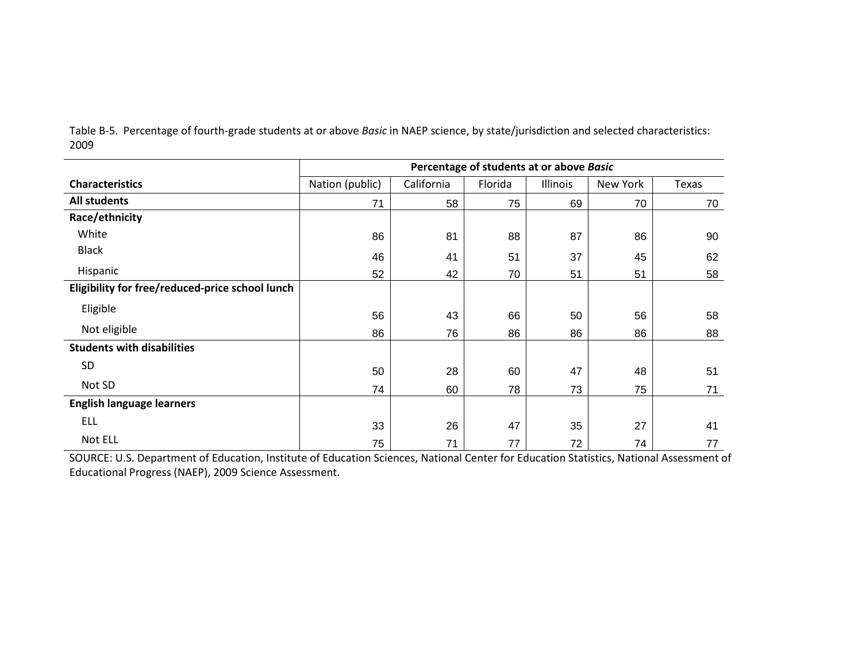|                                                 |                 |            | Percentage of students at or above Basic |          |          |       |
|-------------------------------------------------|-----------------|------------|------------------------------------------|----------|----------|-------|
| <b>Characteristics</b>                          | Nation (public) | California | Florida                                  | Illinois | New York | Texas |
| <b>All students</b>                             | 71              | 58         | 75                                       | 69       | 70       | 70    |
| Race/ethnicity                                  |                 |            |                                          |          |          |       |
| White                                           | 86              | 81         | 88                                       | 87       | 86       | 90    |
| <b>Black</b>                                    | 46              | 41         | 51                                       | 37       | 45       | 62    |
| Hispanic                                        | 52              | 42         | 70                                       | 51       | 51       | 58    |
| Eligibility for free/reduced-price school lunch |                 |            |                                          |          |          |       |
| Eligible                                        | 56              | 43         | 66                                       | 50       | 56       | 58    |
| Not eligible                                    | 86              | 76         | 86                                       | 86       | 86       | 88    |
| <b>Students with disabilities</b>               |                 |            |                                          |          |          |       |
| <b>SD</b>                                       | 50              | 28         | 60                                       | 47       | 48       | 51    |
| Not SD                                          | 74              | 60         | 78                                       | 73       | 75       | 71    |
| <b>English language learners</b>                |                 |            |                                          |          |          |       |
| <b>ELL</b>                                      | 33              | 26         | 47                                       | 35       | 27       | 41    |
| Not ELL                                         | 75              | 71         | 77                                       | 72       | 74       | 77    |

Table B-5. Percentage of fourth-grade students at or above *Basic* in NAEP science, by state/jurisdiction and selected characteristics: 2009

SOURCE: U.S. Department of Education, Institute of Education Sciences, National Center for Education Statistics, National Assessment of Educational Progress (NAEP), 2009 Science Assessment.